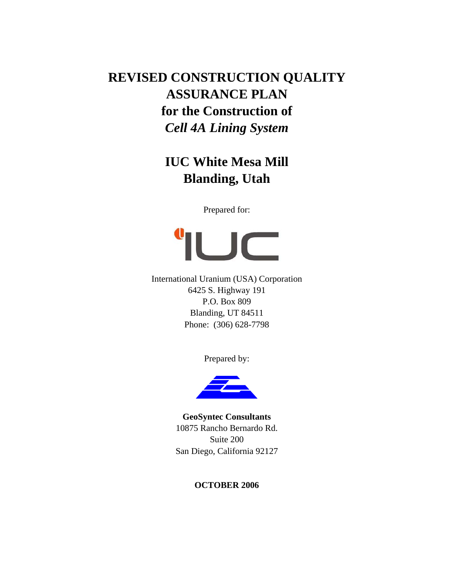# **REVISED CONSTRUCTION QUALITY ASSURANCE PLAN for the Construction of**  *Cell 4A Lining System*

# **IUC White Mesa Mill Blanding, Utah**

Prepared for:



International Uranium (USA) Corporation 6425 S. Highway 191 P.O. Box 809 Blanding, UT 84511 Phone: (306) 628-7798

Prepared by:



**GeoSyntec Consultants**  10875 Rancho Bernardo Rd. Suite 200 San Diego, California 92127

# **OCTOBER 2006**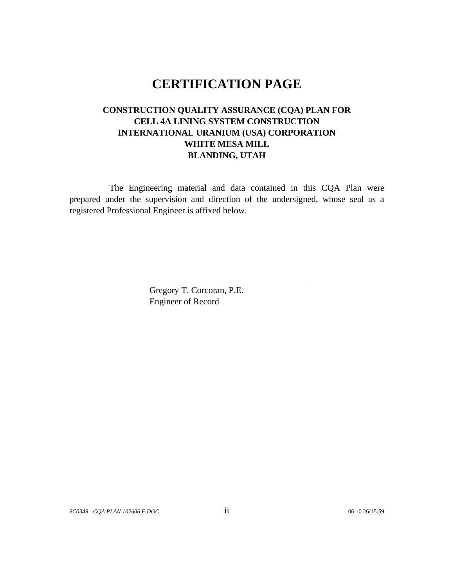# **CERTIFICATION PAGE**

# **CONSTRUCTION QUALITY ASSURANCE (CQA) PLAN FOR CELL 4A LINING SYSTEM CONSTRUCTION INTERNATIONAL URANIUM (USA) CORPORATION WHITE MESA MILL BLANDING, UTAH**

The Engineering material and data contained in this CQA Plan were prepared under the supervision and direction of the undersigned, whose seal as a registered Professional Engineer is affixed below.

> Gregory T. Corcoran, P.E. Engineer of Record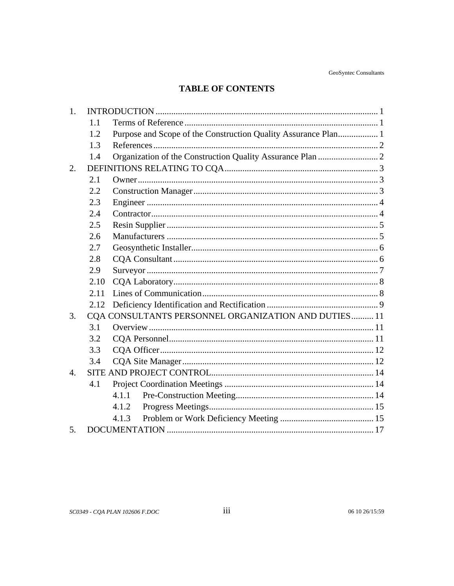# **TABLE OF CONTENTS**

| 1.               |      |                                                                |  |  |  |  |  |
|------------------|------|----------------------------------------------------------------|--|--|--|--|--|
|                  | 1.1  |                                                                |  |  |  |  |  |
|                  | 1.2  | Purpose and Scope of the Construction Quality Assurance Plan 1 |  |  |  |  |  |
|                  | 1.3  |                                                                |  |  |  |  |  |
|                  | 1.4  |                                                                |  |  |  |  |  |
| 2.               |      |                                                                |  |  |  |  |  |
|                  | 2.1  |                                                                |  |  |  |  |  |
|                  | 2.2  |                                                                |  |  |  |  |  |
|                  | 2.3  |                                                                |  |  |  |  |  |
|                  | 2.4  |                                                                |  |  |  |  |  |
|                  | 2.5  |                                                                |  |  |  |  |  |
|                  | 2.6  |                                                                |  |  |  |  |  |
|                  | 2.7  |                                                                |  |  |  |  |  |
|                  | 2.8  |                                                                |  |  |  |  |  |
|                  | 2.9  |                                                                |  |  |  |  |  |
|                  | 2.10 |                                                                |  |  |  |  |  |
|                  | 2.11 |                                                                |  |  |  |  |  |
|                  | 2.12 |                                                                |  |  |  |  |  |
| 3.               |      | CQA CONSULTANTS PERSONNEL ORGANIZATION AND DUTIES 11           |  |  |  |  |  |
|                  | 3.1  |                                                                |  |  |  |  |  |
|                  | 3.2  |                                                                |  |  |  |  |  |
|                  | 3.3  |                                                                |  |  |  |  |  |
|                  | 3.4  |                                                                |  |  |  |  |  |
| $\overline{4}$ . |      |                                                                |  |  |  |  |  |
|                  | 4.1  |                                                                |  |  |  |  |  |
|                  |      | 4.1.1                                                          |  |  |  |  |  |
|                  |      | 4.1.2                                                          |  |  |  |  |  |
|                  |      | 4.1.3                                                          |  |  |  |  |  |
| 5.               |      |                                                                |  |  |  |  |  |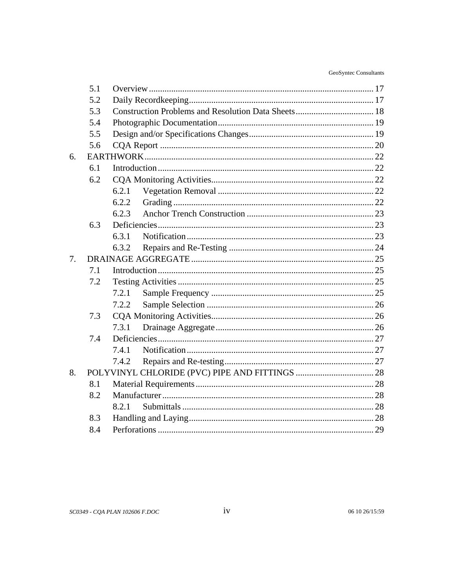| GeoSyntec Consultants |  |
|-----------------------|--|
|-----------------------|--|

|    | 5.1 |       |  |  |  |  |
|----|-----|-------|--|--|--|--|
|    | 5.2 |       |  |  |  |  |
|    | 5.3 |       |  |  |  |  |
|    | 5.4 |       |  |  |  |  |
|    | 5.5 |       |  |  |  |  |
|    | 5.6 |       |  |  |  |  |
| 6. |     |       |  |  |  |  |
|    | 6.1 |       |  |  |  |  |
|    | 6.2 |       |  |  |  |  |
|    |     | 6.2.1 |  |  |  |  |
|    |     | 6.2.2 |  |  |  |  |
|    |     | 6.2.3 |  |  |  |  |
|    | 6.3 |       |  |  |  |  |
|    |     | 6.3.1 |  |  |  |  |
|    |     | 6.3.2 |  |  |  |  |
| 7. |     |       |  |  |  |  |
|    | 7.1 |       |  |  |  |  |
|    | 7.2 |       |  |  |  |  |
|    |     | 7.2.1 |  |  |  |  |
|    |     | 7.2.2 |  |  |  |  |
|    | 7.3 |       |  |  |  |  |
|    |     | 7.3.1 |  |  |  |  |
|    | 7.4 |       |  |  |  |  |
|    |     | 7.4.1 |  |  |  |  |
|    |     | 7.4.2 |  |  |  |  |
| 8. |     |       |  |  |  |  |
|    | 8.1 |       |  |  |  |  |
|    | 8.2 |       |  |  |  |  |
|    |     | 8.2.1 |  |  |  |  |
|    | 8.3 |       |  |  |  |  |
|    | 8.4 |       |  |  |  |  |

 $iv$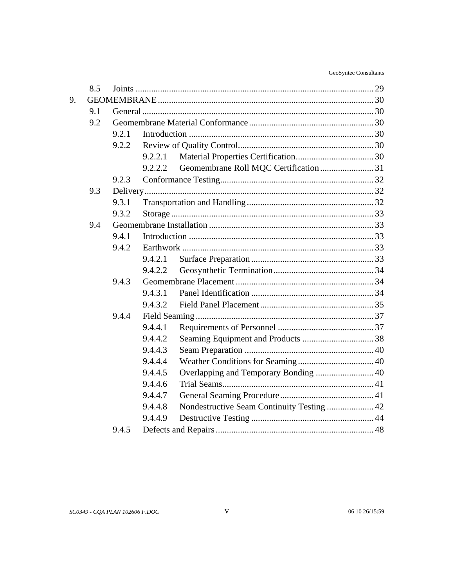|    | 8.5 |       |         |                                            |  |
|----|-----|-------|---------|--------------------------------------------|--|
| 9. |     |       |         |                                            |  |
|    | 9.1 |       |         |                                            |  |
|    | 9.2 |       |         |                                            |  |
|    |     | 9.2.1 |         |                                            |  |
|    |     | 9.2.2 |         |                                            |  |
|    |     |       | 9.2.2.1 |                                            |  |
|    |     |       | 9.2.2.2 |                                            |  |
|    |     | 9.2.3 |         |                                            |  |
|    | 9.3 |       |         |                                            |  |
|    |     | 9.3.1 |         |                                            |  |
|    |     | 9.3.2 |         |                                            |  |
|    | 9.4 |       |         |                                            |  |
|    |     | 9.4.1 |         |                                            |  |
|    |     | 9.4.2 |         |                                            |  |
|    |     |       | 9.4.2.1 |                                            |  |
|    |     |       | 9.4.2.2 |                                            |  |
|    |     | 9.4.3 |         |                                            |  |
|    |     |       | 9.4.3.1 |                                            |  |
|    |     |       | 9.4.3.2 |                                            |  |
|    |     | 9.4.4 |         |                                            |  |
|    |     |       | 9.4.4.1 |                                            |  |
|    |     |       | 9.4.4.2 |                                            |  |
|    |     |       | 9.4.4.3 |                                            |  |
|    |     |       | 9.4.4.4 |                                            |  |
|    |     |       | 9.4.4.5 |                                            |  |
|    |     |       | 9.4.4.6 |                                            |  |
|    |     |       | 9.4.4.7 |                                            |  |
|    |     |       | 9.4.4.8 | Nondestructive Seam Continuity Testing  42 |  |
|    |     |       | 9.4.4.9 |                                            |  |
|    |     | 9.4.5 |         |                                            |  |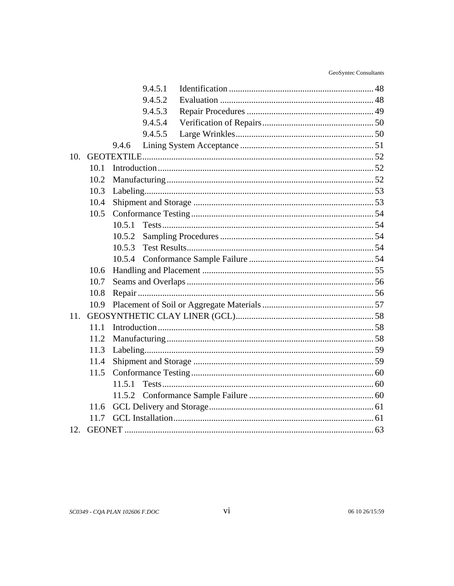|     |      | 9.4.5.1 |  |  |
|-----|------|---------|--|--|
|     |      | 9.4.5.2 |  |  |
|     |      | 9.4.5.3 |  |  |
|     |      | 9.4.5.4 |  |  |
|     |      | 9.4.5.5 |  |  |
|     |      | 9.4.6   |  |  |
| 10. |      |         |  |  |
|     | 10.1 |         |  |  |
|     | 10.2 |         |  |  |
|     | 10.3 |         |  |  |
|     | 10.4 |         |  |  |
|     | 10.5 |         |  |  |
|     |      | 10.5.1  |  |  |
|     |      | 10.5.2  |  |  |
|     |      | 10.5.3  |  |  |
|     |      | 10.5.4  |  |  |
|     | 10.6 |         |  |  |
|     | 10.7 |         |  |  |
|     | 10.8 |         |  |  |
|     | 10.9 |         |  |  |
| 11. |      |         |  |  |
|     | 11.1 |         |  |  |
|     | 11.2 |         |  |  |
|     | 11.3 |         |  |  |
|     | 11.4 |         |  |  |
|     | 11.5 |         |  |  |
|     |      | 11.5.1  |  |  |
|     |      | 11.5.2  |  |  |
|     | 11.6 |         |  |  |
|     | 11.7 |         |  |  |
| 12. |      |         |  |  |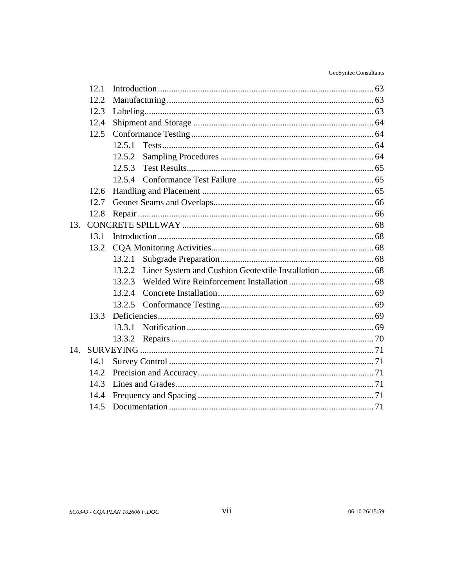| GeoSyntec Consultants |
|-----------------------|
|                       |

|     | 12.1 |                                                                |  |  |
|-----|------|----------------------------------------------------------------|--|--|
|     | 12.2 |                                                                |  |  |
|     | 12.3 |                                                                |  |  |
|     | 12.4 |                                                                |  |  |
|     | 12.5 |                                                                |  |  |
|     |      | 12.5.1                                                         |  |  |
|     |      | 12.5.2                                                         |  |  |
|     |      | 12.5.3                                                         |  |  |
|     |      |                                                                |  |  |
|     | 12.6 |                                                                |  |  |
|     | 12.7 |                                                                |  |  |
|     | 12.8 |                                                                |  |  |
| 13. |      |                                                                |  |  |
|     | 13.1 |                                                                |  |  |
|     | 13.2 |                                                                |  |  |
|     |      | 13.2.1                                                         |  |  |
|     |      | Liner System and Cushion Geotextile Installation  68<br>13.2.2 |  |  |
|     |      | 13.2.3                                                         |  |  |
|     |      | 13.2.4                                                         |  |  |
|     |      | 13.2.5                                                         |  |  |
|     | 13.3 |                                                                |  |  |
|     |      | 13.3.1                                                         |  |  |
|     |      | 13.3.2                                                         |  |  |
| 14. |      |                                                                |  |  |
|     | 14.1 |                                                                |  |  |
|     | 14.2 |                                                                |  |  |
|     | 14.3 |                                                                |  |  |
|     | 14.4 |                                                                |  |  |
|     | 14.5 |                                                                |  |  |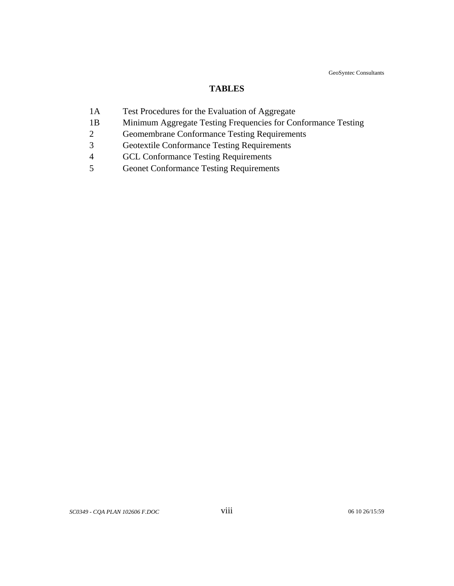GeoSyntec Consultants

#### **TABLES**

- 1A Test Procedures for the Evaluation of Aggregate
- 1B Minimum Aggregate Testing Frequencies for Conformance Testing
- 2 Geomembrane Conformance Testing Requirements
- 3 Geotextile Conformance Testing Requirements
- 4 GCL Conformance Testing Requirements
- 5 Geonet Conformance Testing Requirements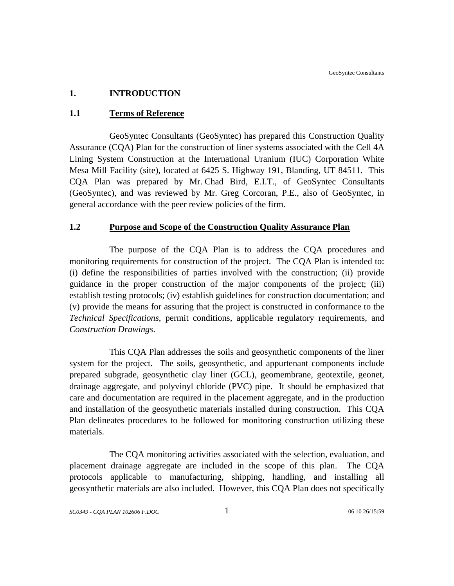# <span id="page-8-0"></span>**1. INTRODUCTION**

# **1.1 Terms of Reference**

GeoSyntec Consultants (GeoSyntec) has prepared this Construction Quality Assurance (CQA) Plan for the construction of liner systems associated with the Cell 4A Lining System Construction at the International Uranium (IUC) Corporation White Mesa Mill Facility (site), located at 6425 S. Highway 191, Blanding, UT 84511. This CQA Plan was prepared by Mr. Chad Bird, E.I.T., of GeoSyntec Consultants (GeoSyntec), and was reviewed by Mr. Greg Corcoran, P.E., also of GeoSyntec, in general accordance with the peer review policies of the firm.

## **1.2 Purpose and Scope of the Construction Quality Assurance Plan**

The purpose of the CQA Plan is to address the CQA procedures and monitoring requirements for construction of the project. The CQA Plan is intended to: (i) define the responsibilities of parties involved with the construction; (ii) provide guidance in the proper construction of the major components of the project; (iii) establish testing protocols; (iv) establish guidelines for construction documentation; and (v) provide the means for assuring that the project is constructed in conformance to the *Technical Specifications*, permit conditions, applicable regulatory requirements, and *Construction Drawings*.

This CQA Plan addresses the soils and geosynthetic components of the liner system for the project. The soils, geosynthetic, and appurtenant components include prepared subgrade, geosynthetic clay liner (GCL), geomembrane, geotextile, geonet, drainage aggregate, and polyvinyl chloride (PVC) pipe. It should be emphasized that care and documentation are required in the placement aggregate, and in the production and installation of the geosynthetic materials installed during construction. This CQA Plan delineates procedures to be followed for monitoring construction utilizing these materials.

The CQA monitoring activities associated with the selection, evaluation, and placement drainage aggregate are included in the scope of this plan. The CQA protocols applicable to manufacturing, shipping, handling, and installing all geosynthetic materials are also included. However, this CQA Plan does not specifically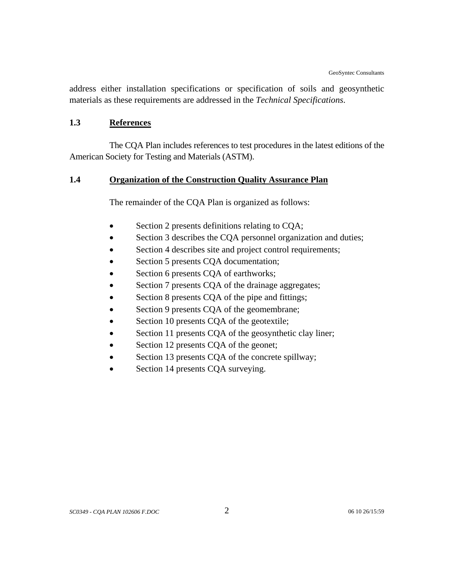<span id="page-9-0"></span>address either installation specifications or specification of soils and geosynthetic materials as these requirements are addressed in the *Technical Specifications*.

#### **1.3 References**

The CQA Plan includes references to test procedures in the latest editions of the American Society for Testing and Materials (ASTM).

# **1.4 Organization of the Construction Quality Assurance Plan**

The remainder of the CQA Plan is organized as follows:

- Section 2 presents definitions relating to CQA;
- Section 3 describes the CQA personnel organization and duties;
- Section 4 describes site and project control requirements;
- Section 5 presents CQA documentation;
- Section 6 presents CQA of earthworks;
- Section 7 presents CQA of the drainage aggregates;
- Section 8 presents CQA of the pipe and fittings;
- Section 9 presents CQA of the geomembrane;
- Section 10 presents CQA of the geotextile;
- Section 11 presents CQA of the geosynthetic clay liner;
- Section 12 presents CQA of the geonet;
- Section 13 presents CQA of the concrete spillway;
- Section 14 presents CQA surveying.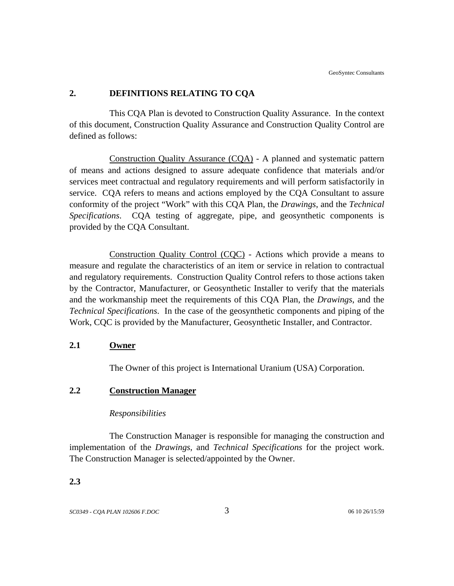## <span id="page-10-0"></span>**2. DEFINITIONS RELATING TO CQA**

This CQA Plan is devoted to Construction Quality Assurance. In the context of this document, Construction Quality Assurance and Construction Quality Control are defined as follows:

Construction Quality Assurance (CQA) - A planned and systematic pattern of means and actions designed to assure adequate confidence that materials and/or services meet contractual and regulatory requirements and will perform satisfactorily in service. CQA refers to means and actions employed by the CQA Consultant to assure conformity of the project "Work" with this CQA Plan, the *Drawings*, and the *Technical Specifications*. CQA testing of aggregate, pipe, and geosynthetic components is provided by the CQA Consultant.

Construction Quality Control (CQC) - Actions which provide a means to measure and regulate the characteristics of an item or service in relation to contractual and regulatory requirements. Construction Quality Control refers to those actions taken by the Contractor, Manufacturer, or Geosynthetic Installer to verify that the materials and the workmanship meet the requirements of this CQA Plan, the *Drawings*, and the *Technical Specifications*. In the case of the geosynthetic components and piping of the Work, CQC is provided by the Manufacturer, Geosynthetic Installer, and Contractor.

#### **2.1 Owner**

The Owner of this project is International Uranium (USA) Corporation.

# **2.2 Construction Manager**

#### *Responsibilities*

The Construction Manager is responsible for managing the construction and implementation of the *Drawings*, and *Technical Specifications* for the project work. The Construction Manager is selected/appointed by the Owner.

#### **2.3**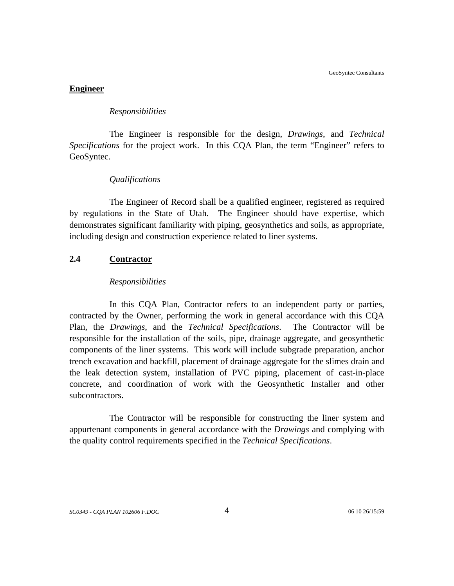#### <span id="page-11-0"></span>**Engineer**

#### *Responsibilities*

The Engineer is responsible for the design, *Drawings*, and *Technical Specifications* for the project work. In this CQA Plan, the term "Engineer" refers to GeoSyntec.

#### *Qualifications*

The Engineer of Record shall be a qualified engineer, registered as required by regulations in the State of Utah. The Engineer should have expertise, which demonstrates significant familiarity with piping, geosynthetics and soils, as appropriate, including design and construction experience related to liner systems.

#### **2.4 Contractor**

#### *Responsibilities*

In this CQA Plan, Contractor refers to an independent party or parties, contracted by the Owner, performing the work in general accordance with this CQA Plan, the *Drawings*, and the *Technical Specifications*. The Contractor will be responsible for the installation of the soils, pipe, drainage aggregate, and geosynthetic components of the liner systems. This work will include subgrade preparation, anchor trench excavation and backfill, placement of drainage aggregate for the slimes drain and the leak detection system, installation of PVC piping, placement of cast-in-place concrete, and coordination of work with the Geosynthetic Installer and other subcontractors.

The Contractor will be responsible for constructing the liner system and appurtenant components in general accordance with the *Drawings* and complying with the quality control requirements specified in the *Technical Specifications*.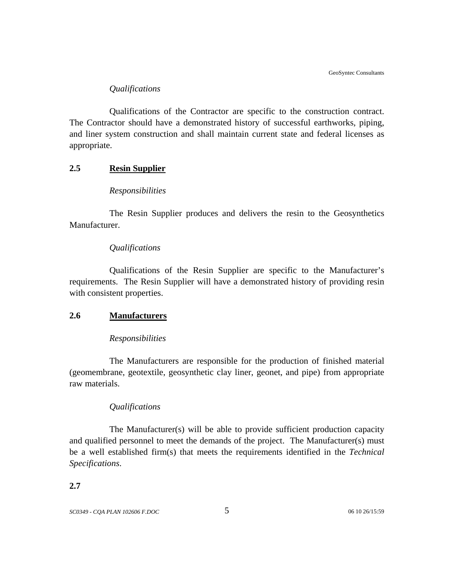## *Qualifications*

<span id="page-12-0"></span>Qualifications of the Contractor are specific to the construction contract. The Contractor should have a demonstrated history of successful earthworks, piping, and liner system construction and shall maintain current state and federal licenses as appropriate.

# **2.5 Resin Supplier**

#### *Responsibilities*

The Resin Supplier produces and delivers the resin to the Geosynthetics Manufacturer.

#### *Qualifications*

Qualifications of the Resin Supplier are specific to the Manufacturer's requirements. The Resin Supplier will have a demonstrated history of providing resin with consistent properties.

#### **2.6 Manufacturers**

#### *Responsibilities*

The Manufacturers are responsible for the production of finished material (geomembrane, geotextile, geosynthetic clay liner, geonet, and pipe) from appropriate raw materials.

#### *Qualifications*

The Manufacturer(s) will be able to provide sufficient production capacity and qualified personnel to meet the demands of the project. The Manufacturer(s) must be a well established firm(s) that meets the requirements identified in the *Technical Specifications*.

#### **2.7**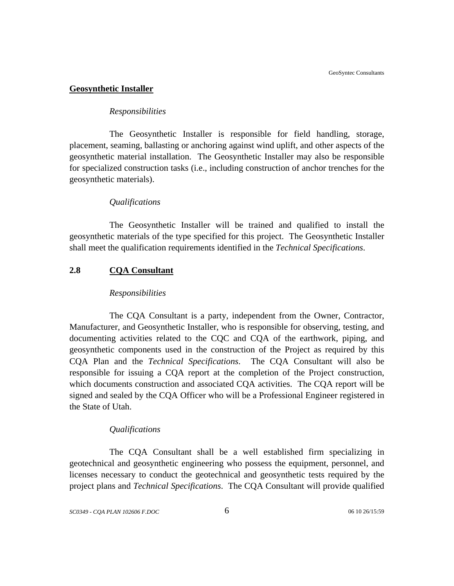#### <span id="page-13-0"></span>**Geosynthetic Installer**

#### *Responsibilities*

The Geosynthetic Installer is responsible for field handling, storage, placement, seaming, ballasting or anchoring against wind uplift, and other aspects of the geosynthetic material installation. The Geosynthetic Installer may also be responsible for specialized construction tasks (i.e., including construction of anchor trenches for the geosynthetic materials).

#### *Qualifications*

The Geosynthetic Installer will be trained and qualified to install the geosynthetic materials of the type specified for this project. The Geosynthetic Installer shall meet the qualification requirements identified in the *Technical Specifications*.

# **2.8 CQA Consultant**

#### *Responsibilities*

The CQA Consultant is a party, independent from the Owner, Contractor, Manufacturer, and Geosynthetic Installer, who is responsible for observing, testing, and documenting activities related to the CQC and CQA of the earthwork, piping, and geosynthetic components used in the construction of the Project as required by this CQA Plan and the *Technical Specifications*. The CQA Consultant will also be responsible for issuing a CQA report at the completion of the Project construction, which documents construction and associated CQA activities. The CQA report will be signed and sealed by the CQA Officer who will be a Professional Engineer registered in the State of Utah.

#### *Qualifications*

The CQA Consultant shall be a well established firm specializing in geotechnical and geosynthetic engineering who possess the equipment, personnel, and licenses necessary to conduct the geotechnical and geosynthetic tests required by the project plans and *Technical Specifications*. The CQA Consultant will provide qualified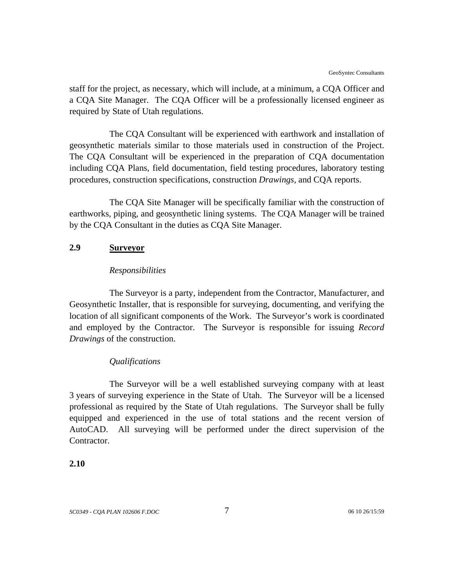<span id="page-14-0"></span>staff for the project, as necessary, which will include, at a minimum, a CQA Officer and a CQA Site Manager. The CQA Officer will be a professionally licensed engineer as required by State of Utah regulations.

The CQA Consultant will be experienced with earthwork and installation of geosynthetic materials similar to those materials used in construction of the Project. The CQA Consultant will be experienced in the preparation of CQA documentation including CQA Plans, field documentation, field testing procedures, laboratory testing procedures, construction specifications, construction *Drawings*, and CQA reports.

The CQA Site Manager will be specifically familiar with the construction of earthworks, piping, and geosynthetic lining systems. The CQA Manager will be trained by the CQA Consultant in the duties as CQA Site Manager.

## **2.9 Surveyor**

#### *Responsibilities*

The Surveyor is a party, independent from the Contractor, Manufacturer, and Geosynthetic Installer, that is responsible for surveying, documenting, and verifying the location of all significant components of the Work. The Surveyor's work is coordinated and employed by the Contractor. The Surveyor is responsible for issuing *Record Drawings* of the construction.

#### *Qualifications*

The Surveyor will be a well established surveying company with at least 3 years of surveying experience in the State of Utah. The Surveyor will be a licensed professional as required by the State of Utah regulations. The Surveyor shall be fully equipped and experienced in the use of total stations and the recent version of AutoCAD. All surveying will be performed under the direct supervision of the Contractor.

# **2.10**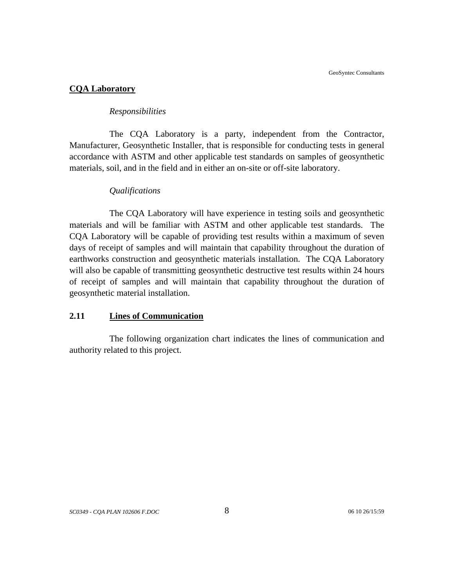## <span id="page-15-0"></span>**CQA Laboratory**

#### *Responsibilities*

The CQA Laboratory is a party, independent from the Contractor, Manufacturer, Geosynthetic Installer, that is responsible for conducting tests in general accordance with ASTM and other applicable test standards on samples of geosynthetic materials, soil, and in the field and in either an on-site or off-site laboratory.

#### *Qualifications*

The CQA Laboratory will have experience in testing soils and geosynthetic materials and will be familiar with ASTM and other applicable test standards. The CQA Laboratory will be capable of providing test results within a maximum of seven days of receipt of samples and will maintain that capability throughout the duration of earthworks construction and geosynthetic materials installation. The CQA Laboratory will also be capable of transmitting geosynthetic destructive test results within 24 hours of receipt of samples and will maintain that capability throughout the duration of geosynthetic material installation.

## **2.11 Lines of Communication**

The following organization chart indicates the lines of communication and authority related to this project.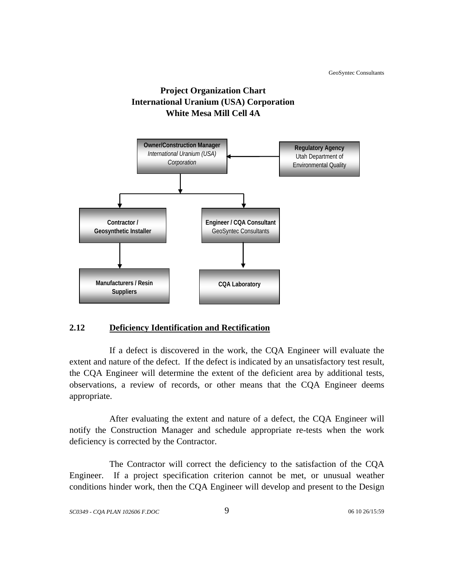

<span id="page-16-0"></span>

# **2.12 Deficiency Identification and Rectification**

If a defect is discovered in the work, the CQA Engineer will evaluate the extent and nature of the defect. If the defect is indicated by an unsatisfactory test result, the CQA Engineer will determine the extent of the deficient area by additional tests, observations, a review of records, or other means that the CQA Engineer deems appropriate.

After evaluating the extent and nature of a defect, the CQA Engineer will notify the Construction Manager and schedule appropriate re-tests when the work deficiency is corrected by the Contractor.

The Contractor will correct the deficiency to the satisfaction of the CQA Engineer. If a project specification criterion cannot be met, or unusual weather conditions hinder work, then the CQA Engineer will develop and present to the Design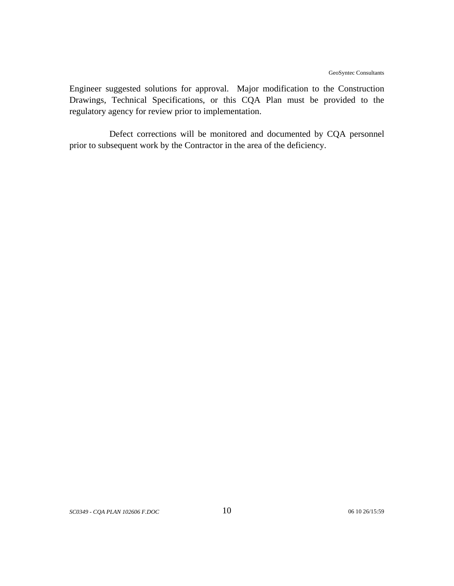Engineer suggested solutions for approval. Major modification to the Construction Drawings, Technical Specifications, or this CQA Plan must be provided to the regulatory agency for review prior to implementation.

Defect corrections will be monitored and documented by CQA personnel prior to subsequent work by the Contractor in the area of the deficiency.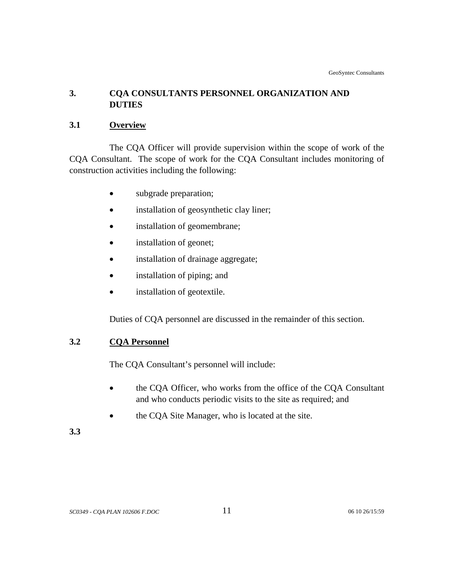# <span id="page-18-0"></span>**3. CQA CONSULTANTS PERSONNEL ORGANIZATION AND DUTIES**

# **3.1 Overview**

The CQA Officer will provide supervision within the scope of work of the CQA Consultant. The scope of work for the CQA Consultant includes monitoring of construction activities including the following:

- subgrade preparation;
- installation of geosynthetic clay liner;
- installation of geomembrane;
- installation of geonet;
- installation of drainage aggregate;
- installation of piping; and
- installation of geotextile.

Duties of CQA personnel are discussed in the remainder of this section.

# **3.2 CQA Personnel**

The CQA Consultant's personnel will include:

- the CQA Officer, who works from the office of the CQA Consultant and who conducts periodic visits to the site as required; and
- the CQA Site Manager, who is located at the site.

# **3.3**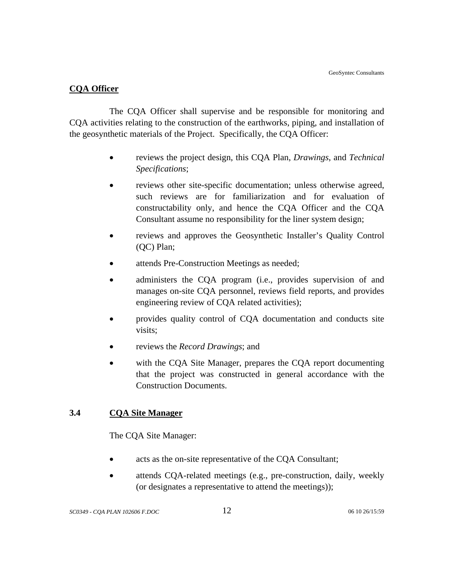## <span id="page-19-0"></span>**CQA Officer**

The CQA Officer shall supervise and be responsible for monitoring and CQA activities relating to the construction of the earthworks, piping, and installation of the geosynthetic materials of the Project. Specifically, the CQA Officer:

- reviews the project design, this CQA Plan, *Drawings*, and *Technical Specifications*;
- reviews other site-specific documentation; unless otherwise agreed, such reviews are for familiarization and for evaluation of constructability only, and hence the CQA Officer and the CQA Consultant assume no responsibility for the liner system design;
- reviews and approves the Geosynthetic Installer's Quality Control (QC) Plan;
- attends Pre-Construction Meetings as needed;
- administers the CQA program (i.e., provides supervision of and manages on-site CQA personnel, reviews field reports, and provides engineering review of CQA related activities);
- provides quality control of CQA documentation and conducts site visits;
- reviews the *Record Drawings*; and
- with the COA Site Manager, prepares the COA report documenting that the project was constructed in general accordance with the Construction Documents.

# **3.4 CQA Site Manager**

The CQA Site Manager:

- acts as the on-site representative of the CQA Consultant;
- attends CQA-related meetings (e.g., pre-construction, daily, weekly (or designates a representative to attend the meetings));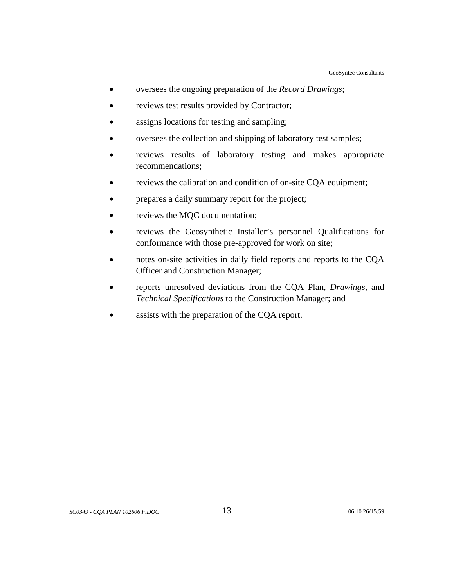- oversees the ongoing preparation of the *Record Drawings*;
- reviews test results provided by Contractor;
- assigns locations for testing and sampling;
- oversees the collection and shipping of laboratory test samples;
- reviews results of laboratory testing and makes appropriate recommendations;
- reviews the calibration and condition of on-site CQA equipment;
- prepares a daily summary report for the project;
- reviews the MQC documentation;
- reviews the Geosynthetic Installer's personnel Qualifications for conformance with those pre-approved for work on site;
- notes on-site activities in daily field reports and reports to the CQA Officer and Construction Manager;
- reports unresolved deviations from the CQA Plan, *Drawings*, and *Technical Specifications* to the Construction Manager; and
- assists with the preparation of the CQA report.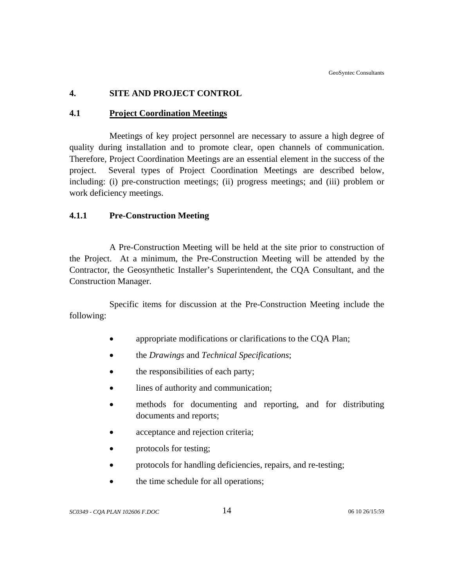# <span id="page-21-0"></span>**4. SITE AND PROJECT CONTROL**

## **4.1 Project Coordination Meetings**

Meetings of key project personnel are necessary to assure a high degree of quality during installation and to promote clear, open channels of communication. Therefore, Project Coordination Meetings are an essential element in the success of the project. Several types of Project Coordination Meetings are described below, including: (i) pre-construction meetings; (ii) progress meetings; and (iii) problem or work deficiency meetings.

# **4.1.1 Pre-Construction Meeting**

A Pre-Construction Meeting will be held at the site prior to construction of the Project. At a minimum, the Pre-Construction Meeting will be attended by the Contractor, the Geosynthetic Installer's Superintendent, the CQA Consultant, and the Construction Manager.

Specific items for discussion at the Pre-Construction Meeting include the following:

- appropriate modifications or clarifications to the CQA Plan;
- the *Drawings* and *Technical Specifications*;
- the responsibilities of each party;
- lines of authority and communication;
- methods for documenting and reporting, and for distributing documents and reports;
- acceptance and rejection criteria;
- protocols for testing;
- protocols for handling deficiencies, repairs, and re-testing;
- the time schedule for all operations;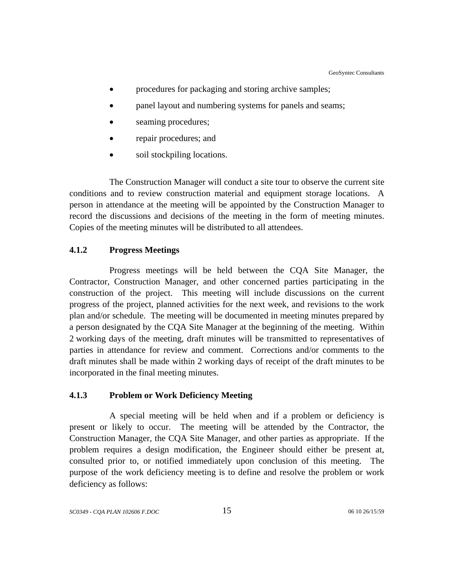- <span id="page-22-0"></span>procedures for packaging and storing archive samples;
- panel layout and numbering systems for panels and seams;
- seaming procedures;
- repair procedures; and
- soil stockpiling locations.

The Construction Manager will conduct a site tour to observe the current site conditions and to review construction material and equipment storage locations. A person in attendance at the meeting will be appointed by the Construction Manager to record the discussions and decisions of the meeting in the form of meeting minutes. Copies of the meeting minutes will be distributed to all attendees.

## **4.1.2 Progress Meetings**

Progress meetings will be held between the CQA Site Manager, the Contractor, Construction Manager, and other concerned parties participating in the construction of the project. This meeting will include discussions on the current progress of the project, planned activities for the next week, and revisions to the work plan and/or schedule. The meeting will be documented in meeting minutes prepared by a person designated by the CQA Site Manager at the beginning of the meeting. Within 2 working days of the meeting, draft minutes will be transmitted to representatives of parties in attendance for review and comment. Corrections and/or comments to the draft minutes shall be made within 2 working days of receipt of the draft minutes to be incorporated in the final meeting minutes.

#### **4.1.3 Problem or Work Deficiency Meeting**

A special meeting will be held when and if a problem or deficiency is present or likely to occur. The meeting will be attended by the Contractor, the Construction Manager, the CQA Site Manager, and other parties as appropriate. If the problem requires a design modification, the Engineer should either be present at, consulted prior to, or notified immediately upon conclusion of this meeting. The purpose of the work deficiency meeting is to define and resolve the problem or work deficiency as follows: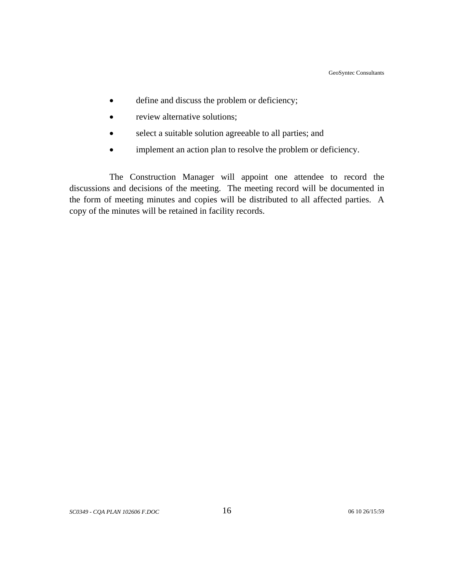- define and discuss the problem or deficiency;
- review alternative solutions;
- select a suitable solution agreeable to all parties; and
- implement an action plan to resolve the problem or deficiency.

The Construction Manager will appoint one attendee to record the discussions and decisions of the meeting. The meeting record will be documented in the form of meeting minutes and copies will be distributed to all affected parties. A copy of the minutes will be retained in facility records.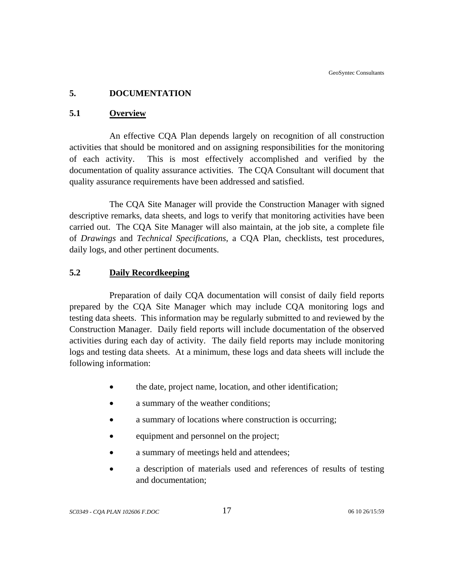# <span id="page-24-0"></span>**5. DOCUMENTATION**

## **5.1 Overview**

An effective CQA Plan depends largely on recognition of all construction activities that should be monitored and on assigning responsibilities for the monitoring of each activity. This is most effectively accomplished and verified by the documentation of quality assurance activities. The CQA Consultant will document that quality assurance requirements have been addressed and satisfied.

The CQA Site Manager will provide the Construction Manager with signed descriptive remarks, data sheets, and logs to verify that monitoring activities have been carried out. The CQA Site Manager will also maintain, at the job site, a complete file of *Drawings* and *Technical Specifications*, a CQA Plan, checklists, test procedures, daily logs, and other pertinent documents.

# **5.2 Daily Recordkeeping**

Preparation of daily CQA documentation will consist of daily field reports prepared by the CQA Site Manager which may include CQA monitoring logs and testing data sheets. This information may be regularly submitted to and reviewed by the Construction Manager. Daily field reports will include documentation of the observed activities during each day of activity. The daily field reports may include monitoring logs and testing data sheets. At a minimum, these logs and data sheets will include the following information:

- the date, project name, location, and other identification;
- a summary of the weather conditions;
- a summary of locations where construction is occurring:
- equipment and personnel on the project;
- a summary of meetings held and attendees;
- a description of materials used and references of results of testing and documentation;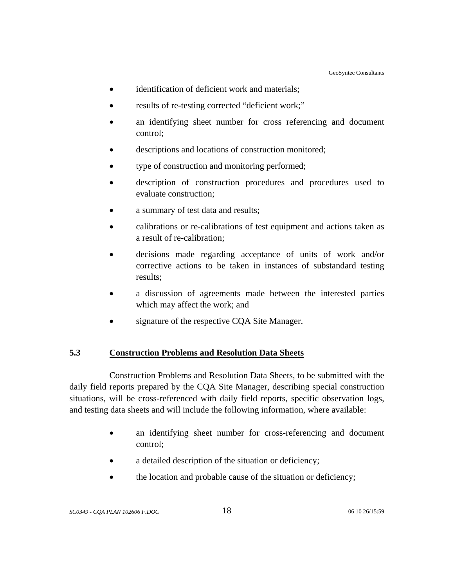- <span id="page-25-0"></span>• identification of deficient work and materials;
- results of re-testing corrected "deficient work;"
- an identifying sheet number for cross referencing and document control;
- descriptions and locations of construction monitored;
- type of construction and monitoring performed;
- description of construction procedures and procedures used to evaluate construction;
- a summary of test data and results;
- calibrations or re-calibrations of test equipment and actions taken as a result of re-calibration;
- decisions made regarding acceptance of units of work and/or corrective actions to be taken in instances of substandard testing results;
- a discussion of agreements made between the interested parties which may affect the work; and
- signature of the respective CQA Site Manager.

# **5.3 Construction Problems and Resolution Data Sheets**

Construction Problems and Resolution Data Sheets, to be submitted with the daily field reports prepared by the CQA Site Manager, describing special construction situations, will be cross-referenced with daily field reports, specific observation logs, and testing data sheets and will include the following information, where available:

- an identifying sheet number for cross-referencing and document control;
- a detailed description of the situation or deficiency;
- the location and probable cause of the situation or deficiency;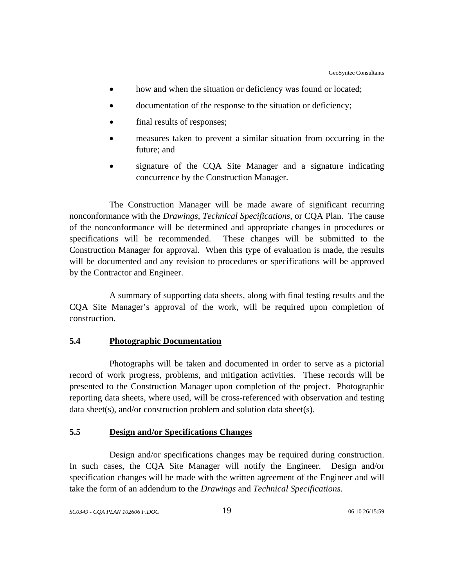- <span id="page-26-0"></span>• how and when the situation or deficiency was found or located;
- documentation of the response to the situation or deficiency;
- final results of responses;
- measures taken to prevent a similar situation from occurring in the future; and
- signature of the CQA Site Manager and a signature indicating concurrence by the Construction Manager.

The Construction Manager will be made aware of significant recurring nonconformance with the *Drawings*, *Technical Specifications*, or CQA Plan. The cause of the nonconformance will be determined and appropriate changes in procedures or specifications will be recommended. These changes will be submitted to the Construction Manager for approval. When this type of evaluation is made, the results will be documented and any revision to procedures or specifications will be approved by the Contractor and Engineer.

A summary of supporting data sheets, along with final testing results and the CQA Site Manager's approval of the work, will be required upon completion of construction.

#### **5.4 Photographic Documentation**

Photographs will be taken and documented in order to serve as a pictorial record of work progress, problems, and mitigation activities. These records will be presented to the Construction Manager upon completion of the project. Photographic reporting data sheets, where used, will be cross-referenced with observation and testing data sheet(s), and/or construction problem and solution data sheet(s).

# **5.5 Design and/or Specifications Changes**

Design and/or specifications changes may be required during construction. In such cases, the CQA Site Manager will notify the Engineer. Design and/or specification changes will be made with the written agreement of the Engineer and will take the form of an addendum to the *Drawings* and *Technical Specifications*.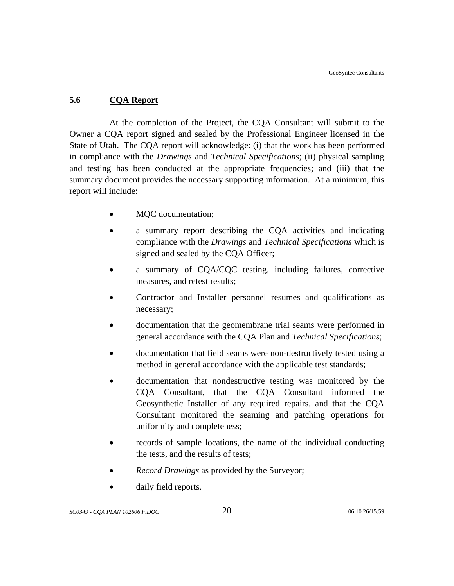# <span id="page-27-0"></span>**5.6 CQA Report**

At the completion of the Project, the CQA Consultant will submit to the Owner a CQA report signed and sealed by the Professional Engineer licensed in the State of Utah. The CQA report will acknowledge: (i) that the work has been performed in compliance with the *Drawings* and *Technical Specifications*; (ii) physical sampling and testing has been conducted at the appropriate frequencies; and (iii) that the summary document provides the necessary supporting information. At a minimum, this report will include:

- MQC documentation;
- a summary report describing the CQA activities and indicating compliance with the *Drawings* and *Technical Specifications* which is signed and sealed by the CQA Officer;
- a summary of CQA/CQC testing, including failures, corrective measures, and retest results;
- Contractor and Installer personnel resumes and qualifications as necessary;
- documentation that the geomembrane trial seams were performed in general accordance with the CQA Plan and *Technical Specifications*;
- documentation that field seams were non-destructively tested using a method in general accordance with the applicable test standards;
- documentation that nondestructive testing was monitored by the CQA Consultant, that the CQA Consultant informed the Geosynthetic Installer of any required repairs, and that the CQA Consultant monitored the seaming and patching operations for uniformity and completeness;
- records of sample locations, the name of the individual conducting the tests, and the results of tests;
- *Record Drawings* as provided by the Surveyor;
- daily field reports.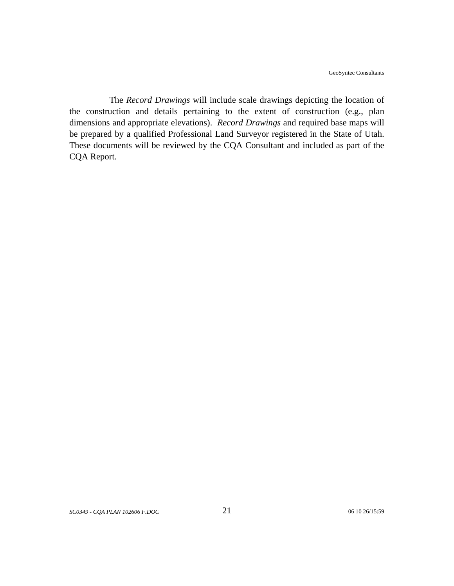The *Record Drawings* will include scale drawings depicting the location of the construction and details pertaining to the extent of construction (e.g., plan dimensions and appropriate elevations). *Record Drawings* and required base maps will be prepared by a qualified Professional Land Surveyor registered in the State of Utah. These documents will be reviewed by the CQA Consultant and included as part of the CQA Report.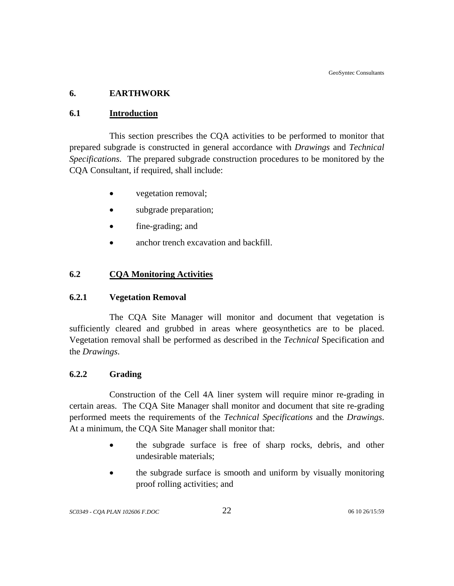# <span id="page-29-0"></span>**6. EARTHWORK**

# **6.1 Introduction**

This section prescribes the CQA activities to be performed to monitor that prepared subgrade is constructed in general accordance with *Drawings* and *Technical Specifications*. The prepared subgrade construction procedures to be monitored by the CQA Consultant, if required, shall include:

- vegetation removal;
- subgrade preparation;
- fine-grading; and
- anchor trench excavation and backfill.

# **6.2 CQA Monitoring Activities**

# **6.2.1 Vegetation Removal**

The CQA Site Manager will monitor and document that vegetation is sufficiently cleared and grubbed in areas where geosynthetics are to be placed. Vegetation removal shall be performed as described in the *Technical* Specification and the *Drawings*.

# **6.2.2 Grading**

 Construction of the Cell 4A liner system will require minor re-grading in certain areas. The CQA Site Manager shall monitor and document that site re-grading performed meets the requirements of the *Technical Specifications* and the *Drawings*. At a minimum, the CQA Site Manager shall monitor that:

- the subgrade surface is free of sharp rocks, debris, and other undesirable materials;
- the subgrade surface is smooth and uniform by visually monitoring proof rolling activities; and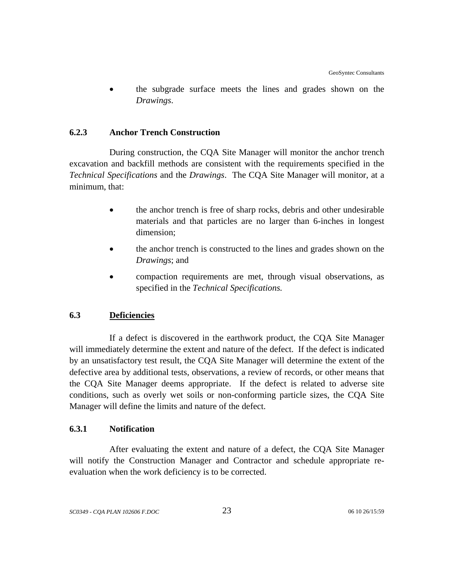<span id="page-30-0"></span>• the subgrade surface meets the lines and grades shown on the *Drawings*.

## **6.2.3 Anchor Trench Construction**

During construction, the CQA Site Manager will monitor the anchor trench excavation and backfill methods are consistent with the requirements specified in the *Technical Specifications* and the *Drawings*. The CQA Site Manager will monitor, at a minimum, that:

- the anchor trench is free of sharp rocks, debris and other undesirable materials and that particles are no larger than 6-inches in longest dimension;
- the anchor trench is constructed to the lines and grades shown on the *Drawings*; and
- compaction requirements are met, through visual observations, as specified in the *Technical Specifications.*

# **6.3 Deficiencies**

If a defect is discovered in the earthwork product, the CQA Site Manager will immediately determine the extent and nature of the defect. If the defect is indicated by an unsatisfactory test result, the CQA Site Manager will determine the extent of the defective area by additional tests, observations, a review of records, or other means that the CQA Site Manager deems appropriate. If the defect is related to adverse site conditions, such as overly wet soils or non-conforming particle sizes, the CQA Site Manager will define the limits and nature of the defect.

# **6.3.1 Notification**

After evaluating the extent and nature of a defect, the CQA Site Manager will notify the Construction Manager and Contractor and schedule appropriate reevaluation when the work deficiency is to be corrected.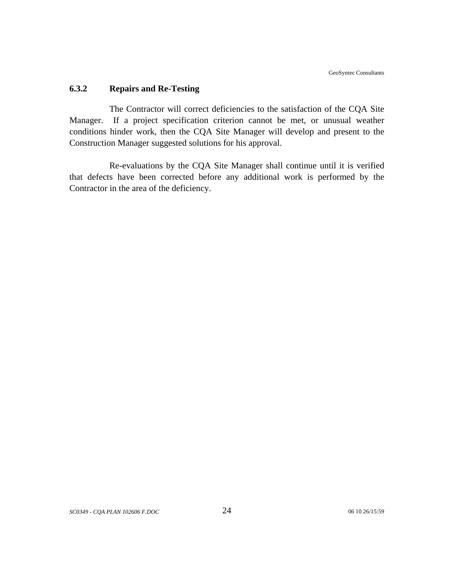#### <span id="page-31-0"></span>**6.3.2 Repairs and Re-Testing**

The Contractor will correct deficiencies to the satisfaction of the CQA Site Manager. If a project specification criterion cannot be met, or unusual weather conditions hinder work, then the CQA Site Manager will develop and present to the Construction Manager suggested solutions for his approval.

Re-evaluations by the CQA Site Manager shall continue until it is verified that defects have been corrected before any additional work is performed by the Contractor in the area of the deficiency.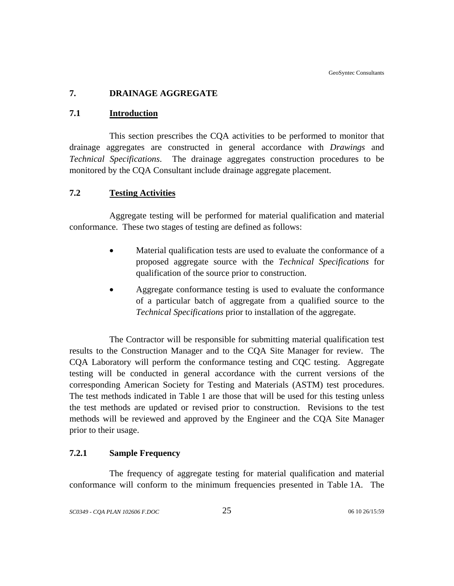# <span id="page-32-0"></span>**7. DRAINAGE AGGREGATE**

## **7.1 Introduction**

This section prescribes the CQA activities to be performed to monitor that drainage aggregates are constructed in general accordance with *Drawings* and *Technical Specifications*. The drainage aggregates construction procedures to be monitored by the CQA Consultant include drainage aggregate placement.

# **7.2 Testing Activities**

Aggregate testing will be performed for material qualification and material conformance. These two stages of testing are defined as follows:

- Material qualification tests are used to evaluate the conformance of a proposed aggregate source with the *Technical Specifications* for qualification of the source prior to construction.
- Aggregate conformance testing is used to evaluate the conformance of a particular batch of aggregate from a qualified source to the *Technical Specifications* prior to installation of the aggregate.

The Contractor will be responsible for submitting material qualification test results to the Construction Manager and to the CQA Site Manager for review. The CQA Laboratory will perform the conformance testing and CQC testing. Aggregate testing will be conducted in general accordance with the current versions of the corresponding American Society for Testing and Materials (ASTM) test procedures. The test methods indicated in Table 1 are those that will be used for this testing unless the test methods are updated or revised prior to construction. Revisions to the test methods will be reviewed and approved by the Engineer and the CQA Site Manager prior to their usage.

# **7.2.1 Sample Frequency**

The frequency of aggregate testing for material qualification and material conformance will conform to the minimum frequencies presented in Table 1A. The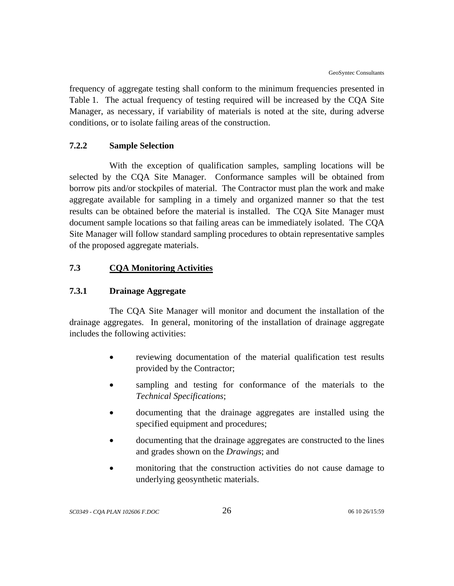<span id="page-33-0"></span>frequency of aggregate testing shall conform to the minimum frequencies presented in Table 1. The actual frequency of testing required will be increased by the CQA Site Manager, as necessary, if variability of materials is noted at the site, during adverse conditions, or to isolate failing areas of the construction.

## **7.2.2 Sample Selection**

With the exception of qualification samples, sampling locations will be selected by the CQA Site Manager. Conformance samples will be obtained from borrow pits and/or stockpiles of material. The Contractor must plan the work and make aggregate available for sampling in a timely and organized manner so that the test results can be obtained before the material is installed. The CQA Site Manager must document sample locations so that failing areas can be immediately isolated. The CQA Site Manager will follow standard sampling procedures to obtain representative samples of the proposed aggregate materials.

# **7.3 CQA Monitoring Activities**

#### **7.3.1 Drainage Aggregate**

The CQA Site Manager will monitor and document the installation of the drainage aggregates. In general, monitoring of the installation of drainage aggregate includes the following activities:

- reviewing documentation of the material qualification test results provided by the Contractor;
- sampling and testing for conformance of the materials to the *Technical Specifications*;
- documenting that the drainage aggregates are installed using the specified equipment and procedures;
- documenting that the drainage aggregates are constructed to the lines and grades shown on the *Drawings*; and
- monitoring that the construction activities do not cause damage to underlying geosynthetic materials.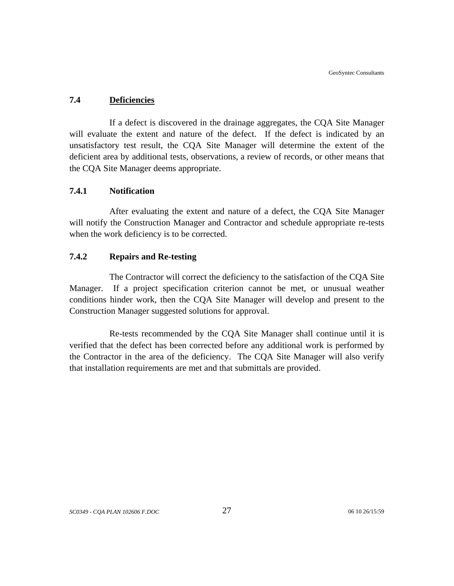## <span id="page-34-0"></span>**7.4 Deficiencies**

If a defect is discovered in the drainage aggregates, the CQA Site Manager will evaluate the extent and nature of the defect. If the defect is indicated by an unsatisfactory test result, the CQA Site Manager will determine the extent of the deficient area by additional tests, observations, a review of records, or other means that the CQA Site Manager deems appropriate.

# **7.4.1 Notification**

After evaluating the extent and nature of a defect, the CQA Site Manager will notify the Construction Manager and Contractor and schedule appropriate re-tests when the work deficiency is to be corrected.

## **7.4.2 Repairs and Re-testing**

The Contractor will correct the deficiency to the satisfaction of the CQA Site Manager. If a project specification criterion cannot be met, or unusual weather conditions hinder work, then the CQA Site Manager will develop and present to the Construction Manager suggested solutions for approval.

Re-tests recommended by the CQA Site Manager shall continue until it is verified that the defect has been corrected before any additional work is performed by the Contractor in the area of the deficiency. The CQA Site Manager will also verify that installation requirements are met and that submittals are provided.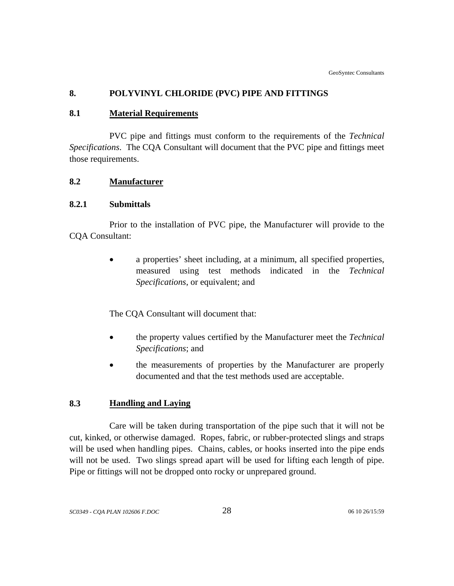# <span id="page-35-0"></span>**8. POLYVINYL CHLORIDE (PVC) PIPE AND FITTINGS**

## **8.1 Material Requirements**

PVC pipe and fittings must conform to the requirements of the *Technical Specifications*. The CQA Consultant will document that the PVC pipe and fittings meet those requirements.

# **8.2 Manufacturer**

## **8.2.1 Submittals**

Prior to the installation of PVC pipe, the Manufacturer will provide to the CQA Consultant:

> • a properties' sheet including, at a minimum, all specified properties, measured using test methods indicated in the *Technical Specifications*, or equivalent; and

The CQA Consultant will document that:

- the property values certified by the Manufacturer meet the *Technical Specifications*; and
- the measurements of properties by the Manufacturer are properly documented and that the test methods used are acceptable.

# **8.3 Handling and Laying**

Care will be taken during transportation of the pipe such that it will not be cut, kinked, or otherwise damaged. Ropes, fabric, or rubber-protected slings and straps will be used when handling pipes. Chains, cables, or hooks inserted into the pipe ends will not be used. Two slings spread apart will be used for lifting each length of pipe. Pipe or fittings will not be dropped onto rocky or unprepared ground.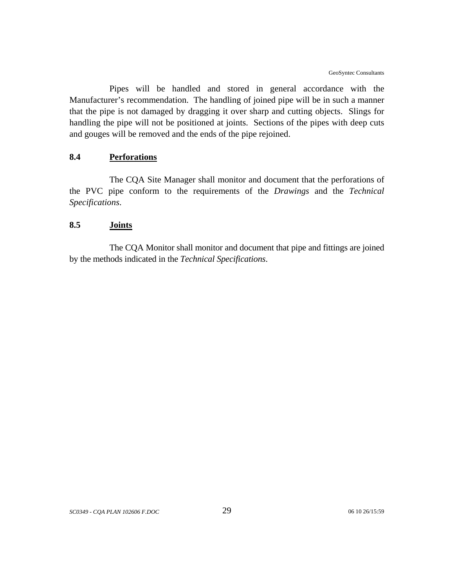Pipes will be handled and stored in general accordance with the Manufacturer's recommendation. The handling of joined pipe will be in such a manner that the pipe is not damaged by dragging it over sharp and cutting objects. Slings for handling the pipe will not be positioned at joints. Sections of the pipes with deep cuts and gouges will be removed and the ends of the pipe rejoined.

## **8.4 Perforations**

The CQA Site Manager shall monitor and document that the perforations of the PVC pipe conform to the requirements of the *Drawings* and the *Technical Specifications*.

### **8.5 Joints**

The CQA Monitor shall monitor and document that pipe and fittings are joined by the methods indicated in the *Technical Specifications*.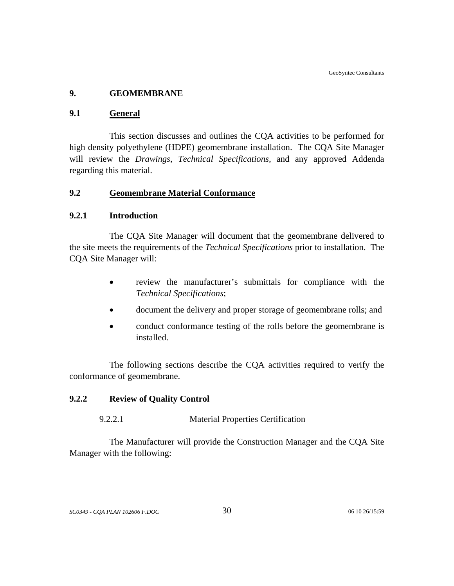## **9. GEOMEMBRANE**

### **9.1 General**

This section discusses and outlines the CQA activities to be performed for high density polyethylene (HDPE) geomembrane installation. The CQA Site Manager will review the *Drawings*, *Technical Specifications,* and any approved Addenda regarding this material.

## **9.2 Geomembrane Material Conformance**

### **9.2.1 Introduction**

The CQA Site Manager will document that the geomembrane delivered to the site meets the requirements of the *Technical Specifications* prior to installation. The CQA Site Manager will:

- review the manufacturer's submittals for compliance with the *Technical Specifications*;
- document the delivery and proper storage of geomembrane rolls; and
- conduct conformance testing of the rolls before the geomembrane is installed.

The following sections describe the CQA activities required to verify the conformance of geomembrane.

## **9.2.2 Review of Quality Control**

### 9.2.2.1 Material Properties Certification

The Manufacturer will provide the Construction Manager and the CQA Site Manager with the following: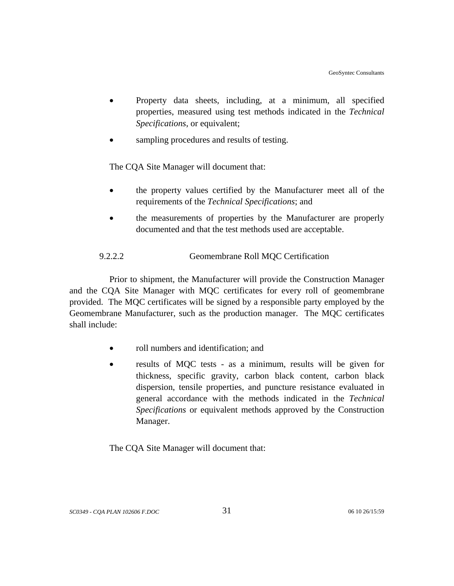- Property data sheets, including, at a minimum, all specified properties, measured using test methods indicated in the *Technical Specifications*, or equivalent;
- sampling procedures and results of testing.

The CQA Site Manager will document that:

- the property values certified by the Manufacturer meet all of the requirements of the *Technical Specifications*; and
- the measurements of properties by the Manufacturer are properly documented and that the test methods used are acceptable.

## 9.2.2.2 Geomembrane Roll MQC Certification

Prior to shipment, the Manufacturer will provide the Construction Manager and the CQA Site Manager with MQC certificates for every roll of geomembrane provided. The MQC certificates will be signed by a responsible party employed by the Geomembrane Manufacturer, such as the production manager. The MQC certificates shall include:

- roll numbers and identification; and
- results of MQC tests as a minimum, results will be given for thickness, specific gravity, carbon black content, carbon black dispersion, tensile properties, and puncture resistance evaluated in general accordance with the methods indicated in the *Technical Specifications* or equivalent methods approved by the Construction Manager.

The CQA Site Manager will document that: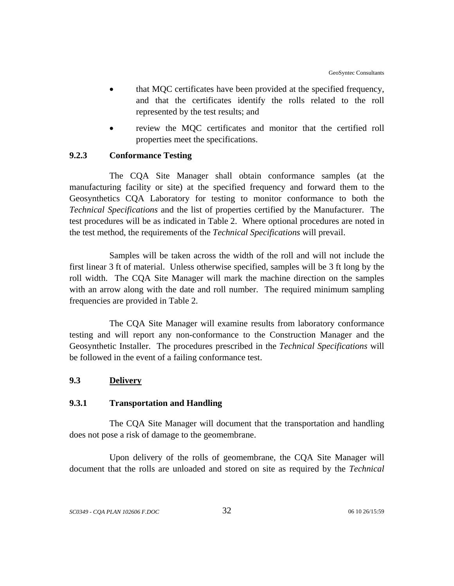- that MQC certificates have been provided at the specified frequency, and that the certificates identify the rolls related to the roll represented by the test results; and
- review the MOC certificates and monitor that the certified roll properties meet the specifications.

## **9.2.3 Conformance Testing**

The CQA Site Manager shall obtain conformance samples (at the manufacturing facility or site) at the specified frequency and forward them to the Geosynthetics CQA Laboratory for testing to monitor conformance to both the *Technical Specifications* and the list of properties certified by the Manufacturer. The test procedures will be as indicated in Table 2. Where optional procedures are noted in the test method, the requirements of the *Technical Specifications* will prevail.

Samples will be taken across the width of the roll and will not include the first linear 3 ft of material. Unless otherwise specified, samples will be 3 ft long by the roll width. The CQA Site Manager will mark the machine direction on the samples with an arrow along with the date and roll number. The required minimum sampling frequencies are provided in Table 2.

The CQA Site Manager will examine results from laboratory conformance testing and will report any non-conformance to the Construction Manager and the Geosynthetic Installer. The procedures prescribed in the *Technical Specifications* will be followed in the event of a failing conformance test.

## **9.3 Delivery**

### **9.3.1 Transportation and Handling**

The CQA Site Manager will document that the transportation and handling does not pose a risk of damage to the geomembrane.

Upon delivery of the rolls of geomembrane, the CQA Site Manager will document that the rolls are unloaded and stored on site as required by the *Technical*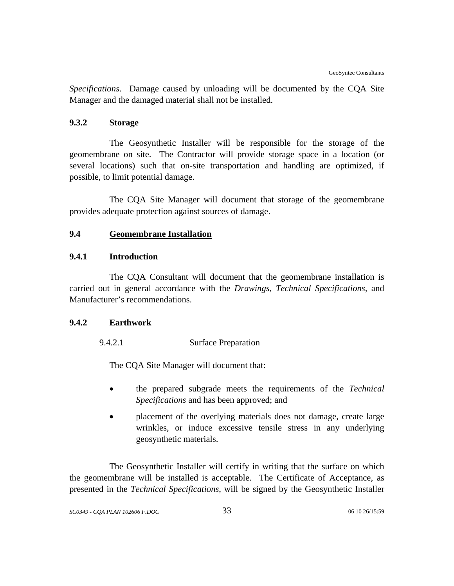*Specifications*. Damage caused by unloading will be documented by the CQA Site Manager and the damaged material shall not be installed.

## **9.3.2 Storage**

The Geosynthetic Installer will be responsible for the storage of the geomembrane on site. The Contractor will provide storage space in a location (or several locations) such that on-site transportation and handling are optimized, if possible, to limit potential damage.

The CQA Site Manager will document that storage of the geomembrane provides adequate protection against sources of damage.

## **9.4 Geomembrane Installation**

## **9.4.1 Introduction**

The CQA Consultant will document that the geomembrane installation is carried out in general accordance with the *Drawings, Technical Specifications,* and Manufacturer's recommendations.

### **9.4.2 Earthwork**

9.4.2.1 Surface Preparation

The CQA Site Manager will document that:

- the prepared subgrade meets the requirements of the *Technical Specifications* and has been approved; and
- placement of the overlying materials does not damage, create large wrinkles, or induce excessive tensile stress in any underlying geosynthetic materials.

The Geosynthetic Installer will certify in writing that the surface on which the geomembrane will be installed is acceptable. The Certificate of Acceptance, as presented in the *Technical Specifications*, will be signed by the Geosynthetic Installer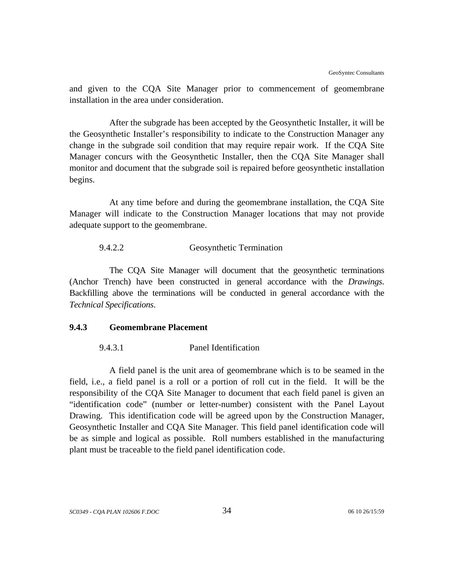and given to the CQA Site Manager prior to commencement of geomembrane installation in the area under consideration.

After the subgrade has been accepted by the Geosynthetic Installer, it will be the Geosynthetic Installer's responsibility to indicate to the Construction Manager any change in the subgrade soil condition that may require repair work. If the CQA Site Manager concurs with the Geosynthetic Installer, then the CQA Site Manager shall monitor and document that the subgrade soil is repaired before geosynthetic installation begins.

At any time before and during the geomembrane installation, the CQA Site Manager will indicate to the Construction Manager locations that may not provide adequate support to the geomembrane.

#### 9.4.2.2 Geosynthetic Termination

The CQA Site Manager will document that the geosynthetic terminations (Anchor Trench) have been constructed in general accordance with the *Drawings*. Backfilling above the terminations will be conducted in general accordance with the *Technical Specifications*.

## **9.4.3 Geomembrane Placement**

#### 9.4.3.1 Panel Identification

A field panel is the unit area of geomembrane which is to be seamed in the field, i.e., a field panel is a roll or a portion of roll cut in the field. It will be the responsibility of the CQA Site Manager to document that each field panel is given an "identification code" (number or letter-number) consistent with the Panel Layout Drawing. This identification code will be agreed upon by the Construction Manager, Geosynthetic Installer and CQA Site Manager. This field panel identification code will be as simple and logical as possible. Roll numbers established in the manufacturing plant must be traceable to the field panel identification code.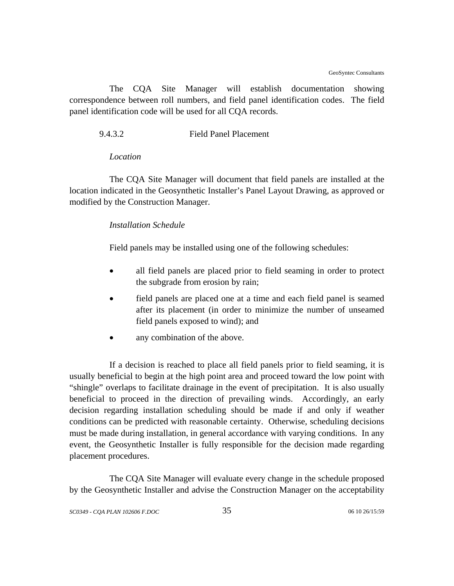The CQA Site Manager will establish documentation showing correspondence between roll numbers, and field panel identification codes. The field panel identification code will be used for all CQA records.

9.4.3.2 Field Panel Placement

#### *Location*

The CQA Site Manager will document that field panels are installed at the location indicated in the Geosynthetic Installer's Panel Layout Drawing, as approved or modified by the Construction Manager.

### *Installation Schedule*

Field panels may be installed using one of the following schedules:

- all field panels are placed prior to field seaming in order to protect the subgrade from erosion by rain;
- field panels are placed one at a time and each field panel is seamed after its placement (in order to minimize the number of unseamed field panels exposed to wind); and
- any combination of the above.

If a decision is reached to place all field panels prior to field seaming, it is usually beneficial to begin at the high point area and proceed toward the low point with "shingle" overlaps to facilitate drainage in the event of precipitation. It is also usually beneficial to proceed in the direction of prevailing winds. Accordingly, an early decision regarding installation scheduling should be made if and only if weather conditions can be predicted with reasonable certainty. Otherwise, scheduling decisions must be made during installation, in general accordance with varying conditions. In any event, the Geosynthetic Installer is fully responsible for the decision made regarding placement procedures.

The CQA Site Manager will evaluate every change in the schedule proposed by the Geosynthetic Installer and advise the Construction Manager on the acceptability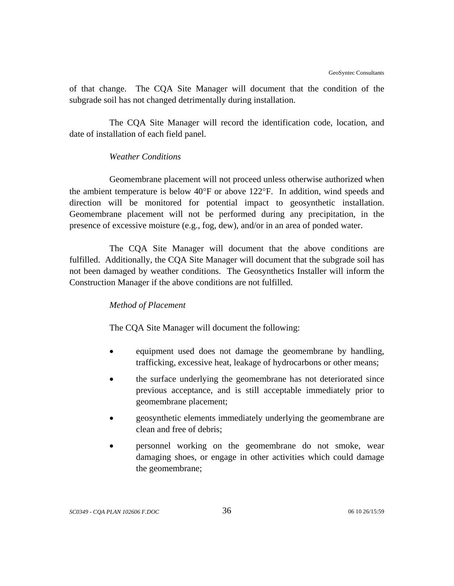of that change. The CQA Site Manager will document that the condition of the subgrade soil has not changed detrimentally during installation.

The CQA Site Manager will record the identification code, location, and date of installation of each field panel.

## *Weather Conditions*

Geomembrane placement will not proceed unless otherwise authorized when the ambient temperature is below 40°F or above 122°F. In addition, wind speeds and direction will be monitored for potential impact to geosynthetic installation. Geomembrane placement will not be performed during any precipitation, in the presence of excessive moisture (e.g., fog, dew), and/or in an area of ponded water.

The CQA Site Manager will document that the above conditions are fulfilled. Additionally, the CQA Site Manager will document that the subgrade soil has not been damaged by weather conditions. The Geosynthetics Installer will inform the Construction Manager if the above conditions are not fulfilled.

### *Method of Placement*

The CQA Site Manager will document the following:

- equipment used does not damage the geomembrane by handling, trafficking, excessive heat, leakage of hydrocarbons or other means;
- the surface underlying the geomembrane has not deteriorated since previous acceptance, and is still acceptable immediately prior to geomembrane placement;
- geosynthetic elements immediately underlying the geomembrane are clean and free of debris;
- personnel working on the geomembrane do not smoke, wear damaging shoes, or engage in other activities which could damage the geomembrane;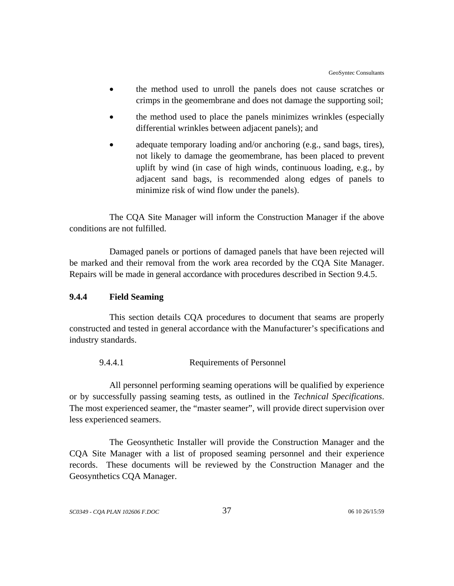- the method used to unroll the panels does not cause scratches or crimps in the geomembrane and does not damage the supporting soil;
- the method used to place the panels minimizes wrinkles (especially differential wrinkles between adjacent panels); and
- adequate temporary loading and/or anchoring (e.g., sand bags, tires), not likely to damage the geomembrane, has been placed to prevent uplift by wind (in case of high winds, continuous loading, e.g., by adjacent sand bags, is recommended along edges of panels to minimize risk of wind flow under the panels).

The CQA Site Manager will inform the Construction Manager if the above conditions are not fulfilled.

Damaged panels or portions of damaged panels that have been rejected will be marked and their removal from the work area recorded by the CQA Site Manager. Repairs will be made in general accordance with procedures described in Section 9.4.5.

### **9.4.4 Field Seaming**

This section details CQA procedures to document that seams are properly constructed and tested in general accordance with the Manufacturer's specifications and industry standards.

9.4.4.1 Requirements of Personnel

All personnel performing seaming operations will be qualified by experience or by successfully passing seaming tests, as outlined in the *Technical Specifications*. The most experienced seamer, the "master seamer", will provide direct supervision over less experienced seamers.

The Geosynthetic Installer will provide the Construction Manager and the CQA Site Manager with a list of proposed seaming personnel and their experience records. These documents will be reviewed by the Construction Manager and the Geosynthetics CQA Manager.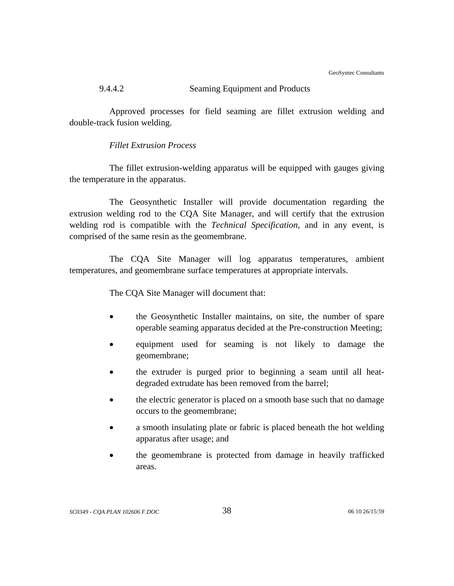GeoSyntec Consultants

## 9.4.4.2 Seaming Equipment and Products

Approved processes for field seaming are fillet extrusion welding and double-track fusion welding.

## *Fillet Extrusion Process*

The fillet extrusion-welding apparatus will be equipped with gauges giving the temperature in the apparatus.

The Geosynthetic Installer will provide documentation regarding the extrusion welding rod to the CQA Site Manager, and will certify that the extrusion welding rod is compatible with the *Technical Specification*, and in any event, is comprised of the same resin as the geomembrane.

The CQA Site Manager will log apparatus temperatures, ambient temperatures, and geomembrane surface temperatures at appropriate intervals.

The CQA Site Manager will document that:

- the Geosynthetic Installer maintains, on site, the number of spare operable seaming apparatus decided at the Pre-construction Meeting;
- equipment used for seaming is not likely to damage the geomembrane;
- the extruder is purged prior to beginning a seam until all heatdegraded extrudate has been removed from the barrel;
- the electric generator is placed on a smooth base such that no damage occurs to the geomembrane;
- a smooth insulating plate or fabric is placed beneath the hot welding apparatus after usage; and
- the geomembrane is protected from damage in heavily trafficked areas.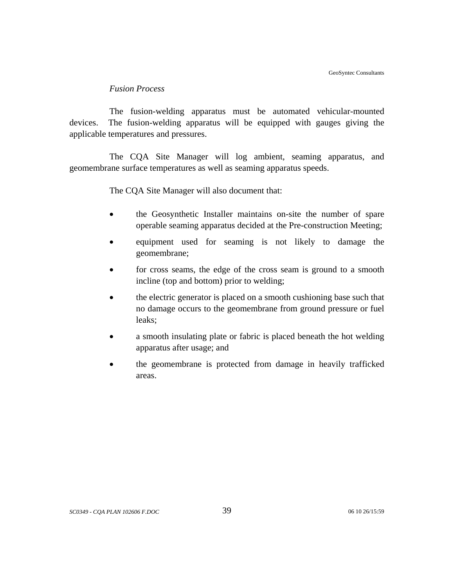#### *Fusion Process*

The fusion-welding apparatus must be automated vehicular-mounted devices. The fusion-welding apparatus will be equipped with gauges giving the applicable temperatures and pressures.

The CQA Site Manager will log ambient, seaming apparatus, and geomembrane surface temperatures as well as seaming apparatus speeds.

The CQA Site Manager will also document that:

- the Geosynthetic Installer maintains on-site the number of spare operable seaming apparatus decided at the Pre-construction Meeting;
- equipment used for seaming is not likely to damage the geomembrane;
- for cross seams, the edge of the cross seam is ground to a smooth incline (top and bottom) prior to welding;
- the electric generator is placed on a smooth cushioning base such that no damage occurs to the geomembrane from ground pressure or fuel leaks;
- a smooth insulating plate or fabric is placed beneath the hot welding apparatus after usage; and
- the geomembrane is protected from damage in heavily trafficked areas.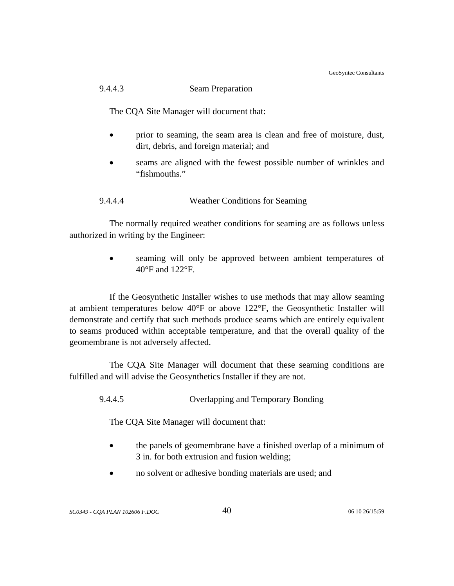GeoSyntec Consultants

## 9.4.4.3 Seam Preparation

The CQA Site Manager will document that:

- prior to seaming, the seam area is clean and free of moisture, dust, dirt, debris, and foreign material; and
- seams are aligned with the fewest possible number of wrinkles and "fishmouths."

## 9.4.4.4 Weather Conditions for Seaming

The normally required weather conditions for seaming are as follows unless authorized in writing by the Engineer:

> seaming will only be approved between ambient temperatures of 40°F and 122°F.

If the Geosynthetic Installer wishes to use methods that may allow seaming at ambient temperatures below 40°F or above 122°F, the Geosynthetic Installer will demonstrate and certify that such methods produce seams which are entirely equivalent to seams produced within acceptable temperature, and that the overall quality of the geomembrane is not adversely affected.

The CQA Site Manager will document that these seaming conditions are fulfilled and will advise the Geosynthetics Installer if they are not.

9.4.4.5 Overlapping and Temporary Bonding

The CQA Site Manager will document that:

- the panels of geomembrane have a finished overlap of a minimum of 3 in. for both extrusion and fusion welding;
- no solvent or adhesive bonding materials are used; and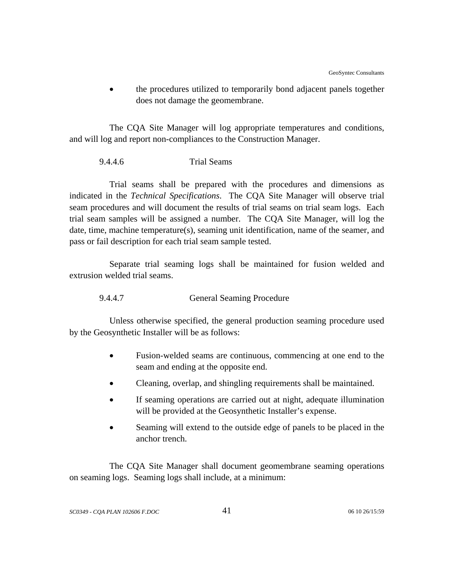• the procedures utilized to temporarily bond adjacent panels together does not damage the geomembrane.

The CQA Site Manager will log appropriate temperatures and conditions, and will log and report non-compliances to the Construction Manager.

#### 9.4.4.6 Trial Seams

Trial seams shall be prepared with the procedures and dimensions as indicated in the *Technical Specifications*. The CQA Site Manager will observe trial seam procedures and will document the results of trial seams on trial seam logs. Each trial seam samples will be assigned a number. The CQA Site Manager, will log the date, time, machine temperature(s), seaming unit identification, name of the seamer, and pass or fail description for each trial seam sample tested.

Separate trial seaming logs shall be maintained for fusion welded and extrusion welded trial seams.

9.4.4.7 General Seaming Procedure

Unless otherwise specified, the general production seaming procedure used by the Geosynthetic Installer will be as follows:

- Fusion-welded seams are continuous, commencing at one end to the seam and ending at the opposite end.
- Cleaning, overlap, and shingling requirements shall be maintained.
- If seaming operations are carried out at night, adequate illumination will be provided at the Geosynthetic Installer's expense.
- Seaming will extend to the outside edge of panels to be placed in the anchor trench.

The CQA Site Manager shall document geomembrane seaming operations on seaming logs. Seaming logs shall include, at a minimum: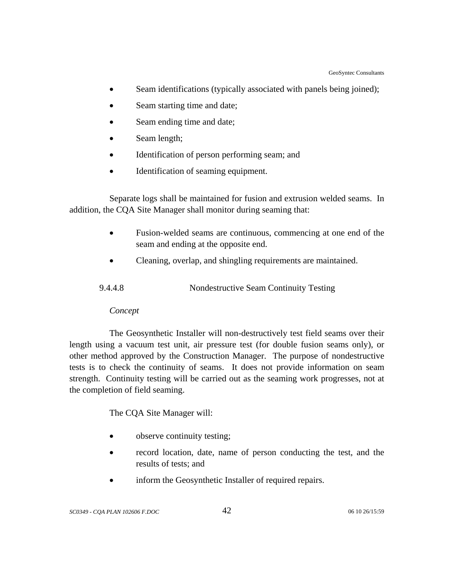- Seam identifications (typically associated with panels being joined);
- Seam starting time and date;
- Seam ending time and date;
- Seam length;
- Identification of person performing seam; and
- Identification of seaming equipment.

 Separate logs shall be maintained for fusion and extrusion welded seams. In addition, the CQA Site Manager shall monitor during seaming that:

- Fusion-welded seams are continuous, commencing at one end of the seam and ending at the opposite end.
- Cleaning, overlap, and shingling requirements are maintained.

| 9.4.4.8 | Nondestructive Seam Continuity Testing |  |
|---------|----------------------------------------|--|
|         |                                        |  |

## *Concept*

The Geosynthetic Installer will non-destructively test field seams over their length using a vacuum test unit, air pressure test (for double fusion seams only), or other method approved by the Construction Manager. The purpose of nondestructive tests is to check the continuity of seams. It does not provide information on seam strength. Continuity testing will be carried out as the seaming work progresses, not at the completion of field seaming.

The CQA Site Manager will:

- observe continuity testing;
- record location, date, name of person conducting the test, and the results of tests; and
- inform the Geosynthetic Installer of required repairs.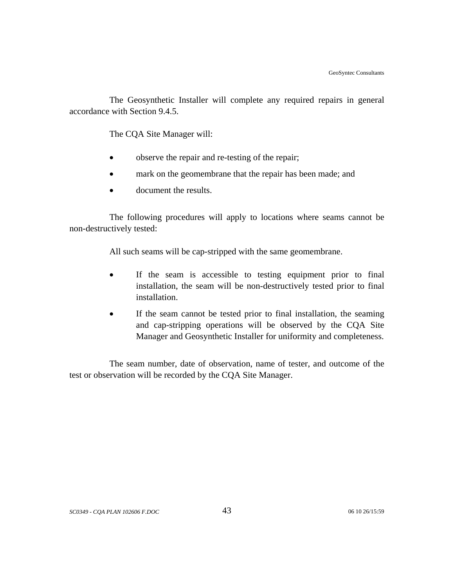The Geosynthetic Installer will complete any required repairs in general accordance with Section 9.4.5.

The CQA Site Manager will:

- observe the repair and re-testing of the repair;
- mark on the geomembrane that the repair has been made; and
- document the results.

The following procedures will apply to locations where seams cannot be non-destructively tested:

All such seams will be cap-stripped with the same geomembrane.

- If the seam is accessible to testing equipment prior to final installation, the seam will be non-destructively tested prior to final installation.
- If the seam cannot be tested prior to final installation, the seaming and cap-stripping operations will be observed by the CQA Site Manager and Geosynthetic Installer for uniformity and completeness.

The seam number, date of observation, name of tester, and outcome of the test or observation will be recorded by the CQA Site Manager.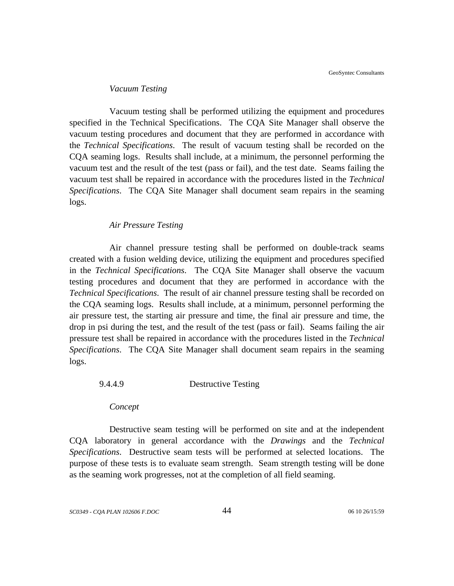#### *Vacuum Testing*

Vacuum testing shall be performed utilizing the equipment and procedures specified in the Technical Specifications. The CQA Site Manager shall observe the vacuum testing procedures and document that they are performed in accordance with the *Technical Specifications*. The result of vacuum testing shall be recorded on the CQA seaming logs. Results shall include, at a minimum, the personnel performing the vacuum test and the result of the test (pass or fail), and the test date. Seams failing the vacuum test shall be repaired in accordance with the procedures listed in the *Technical Specifications*. The CQA Site Manager shall document seam repairs in the seaming logs.

#### *Air Pressure Testing*

Air channel pressure testing shall be performed on double-track seams created with a fusion welding device, utilizing the equipment and procedures specified in the *Technical Specifications*. The CQA Site Manager shall observe the vacuum testing procedures and document that they are performed in accordance with the *Technical Specifications*. The result of air channel pressure testing shall be recorded on the CQA seaming logs. Results shall include, at a minimum, personnel performing the air pressure test, the starting air pressure and time, the final air pressure and time, the drop in psi during the test, and the result of the test (pass or fail). Seams failing the air pressure test shall be repaired in accordance with the procedures listed in the *Technical Specifications*. The CQA Site Manager shall document seam repairs in the seaming logs.

### 9.4.4.9 Destructive Testing

*Concept*

Destructive seam testing will be performed on site and at the independent CQA laboratory in general accordance with the *Drawings* and the *Technical Specifications*. Destructive seam tests will be performed at selected locations. The purpose of these tests is to evaluate seam strength. Seam strength testing will be done as the seaming work progresses, not at the completion of all field seaming.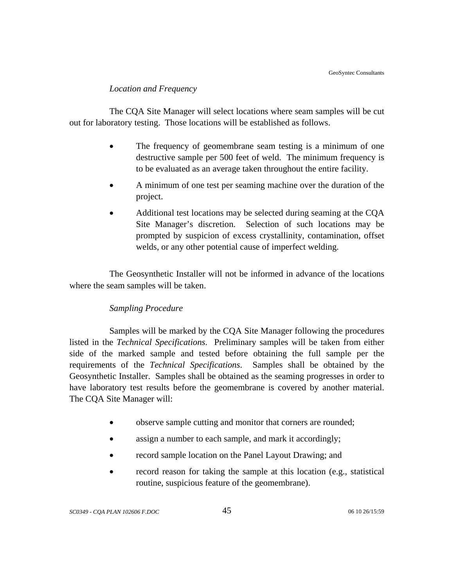## *Location and Frequency*

The CQA Site Manager will select locations where seam samples will be cut out for laboratory testing. Those locations will be established as follows.

- The frequency of geomembrane seam testing is a minimum of one destructive sample per 500 feet of weld. The minimum frequency is to be evaluated as an average taken throughout the entire facility.
- A minimum of one test per seaming machine over the duration of the project.
- Additional test locations may be selected during seaming at the CQA Site Manager's discretion. Selection of such locations may be prompted by suspicion of excess crystallinity, contamination, offset welds, or any other potential cause of imperfect welding.

The Geosynthetic Installer will not be informed in advance of the locations where the seam samples will be taken.

## *Sampling Procedure*

Samples will be marked by the CQA Site Manager following the procedures listed in the *Technical Specifications*. Preliminary samples will be taken from either side of the marked sample and tested before obtaining the full sample per the requirements of the *Technical Specifications*. Samples shall be obtained by the Geosynthetic Installer. Samples shall be obtained as the seaming progresses in order to have laboratory test results before the geomembrane is covered by another material. The CQA Site Manager will:

- observe sample cutting and monitor that corners are rounded;
- assign a number to each sample, and mark it accordingly;
- record sample location on the Panel Layout Drawing; and
- record reason for taking the sample at this location (e.g., statistical routine, suspicious feature of the geomembrane).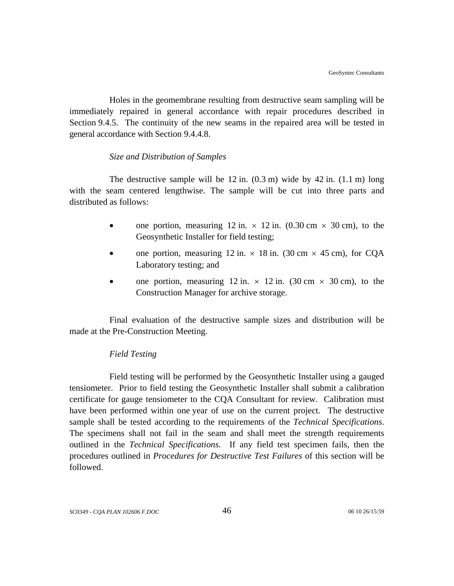Holes in the geomembrane resulting from destructive seam sampling will be immediately repaired in general accordance with repair procedures described in Section 9.4.5. The continuity of the new seams in the repaired area will be tested in general accordance with Section 9.4.4.8.

## *Size and Distribution of Samples*

The destructive sample will be  $12$  in.  $(0.3 \text{ m})$  wide by  $42$  in.  $(1.1 \text{ m})$  long with the seam centered lengthwise. The sample will be cut into three parts and distributed as follows:

- one portion, measuring 12 in.  $\times$  12 in. (0.30 cm  $\times$  30 cm), to the Geosynthetic Installer for field testing;
- one portion, measuring 12 in.  $\times$  18 in. (30 cm  $\times$  45 cm), for CQA Laboratory testing; and
- one portion, measuring 12 in.  $\times$  12 in. (30 cm  $\times$  30 cm), to the Construction Manager for archive storage.

Final evaluation of the destructive sample sizes and distribution will be made at the Pre-Construction Meeting.

## *Field Testing*

Field testing will be performed by the Geosynthetic Installer using a gauged tensiometer. Prior to field testing the Geosynthetic Installer shall submit a calibration certificate for gauge tensiometer to the CQA Consultant for review. Calibration must have been performed within one year of use on the current project. The destructive sample shall be tested according to the requirements of the *Technical Specifications*. The specimens shall not fail in the seam and shall meet the strength requirements outlined in the *Technical Specifications*. If any field test specimen fails, then the procedures outlined in *Procedures for Destructive Test Failures* of this section will be followed.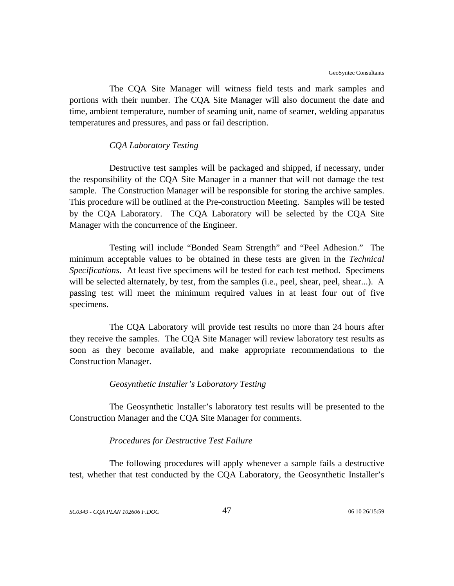The CQA Site Manager will witness field tests and mark samples and portions with their number. The CQA Site Manager will also document the date and time, ambient temperature, number of seaming unit, name of seamer, welding apparatus temperatures and pressures, and pass or fail description.

#### *CQA Laboratory Testing*

Destructive test samples will be packaged and shipped, if necessary, under the responsibility of the CQA Site Manager in a manner that will not damage the test sample. The Construction Manager will be responsible for storing the archive samples. This procedure will be outlined at the Pre-construction Meeting. Samples will be tested by the CQA Laboratory. The CQA Laboratory will be selected by the CQA Site Manager with the concurrence of the Engineer.

Testing will include "Bonded Seam Strength" and "Peel Adhesion." The minimum acceptable values to be obtained in these tests are given in the *Technical Specifications*. At least five specimens will be tested for each test method. Specimens will be selected alternately, by test, from the samples (i.e., peel, shear, peel, shear...). A passing test will meet the minimum required values in at least four out of five specimens.

The CQA Laboratory will provide test results no more than 24 hours after they receive the samples. The CQA Site Manager will review laboratory test results as soon as they become available, and make appropriate recommendations to the Construction Manager.

#### *Geosynthetic Installer's Laboratory Testing*

The Geosynthetic Installer's laboratory test results will be presented to the Construction Manager and the CQA Site Manager for comments.

#### *Procedures for Destructive Test Failure*

The following procedures will apply whenever a sample fails a destructive test, whether that test conducted by the CQA Laboratory, the Geosynthetic Installer's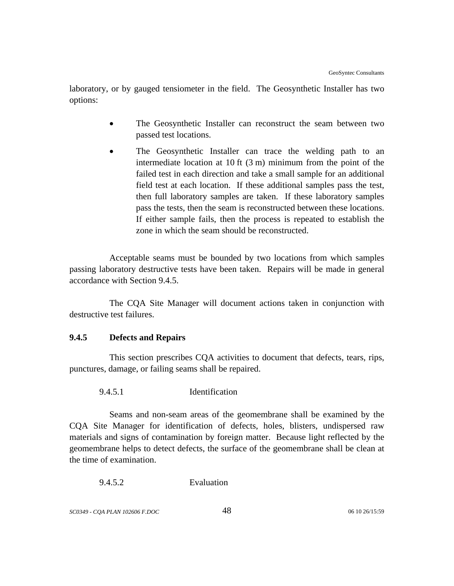laboratory, or by gauged tensiometer in the field. The Geosynthetic Installer has two options:

- The Geosynthetic Installer can reconstruct the seam between two passed test locations.
- The Geosynthetic Installer can trace the welding path to an intermediate location at 10 ft (3 m) minimum from the point of the failed test in each direction and take a small sample for an additional field test at each location. If these additional samples pass the test, then full laboratory samples are taken. If these laboratory samples pass the tests, then the seam is reconstructed between these locations. If either sample fails, then the process is repeated to establish the zone in which the seam should be reconstructed.

Acceptable seams must be bounded by two locations from which samples passing laboratory destructive tests have been taken. Repairs will be made in general accordance with Section 9.4.5.

The CQA Site Manager will document actions taken in conjunction with destructive test failures.

## **9.4.5 Defects and Repairs**

This section prescribes CQA activities to document that defects, tears, rips, punctures, damage, or failing seams shall be repaired.

9.4.5.1 Identification

Seams and non-seam areas of the geomembrane shall be examined by the CQA Site Manager for identification of defects, holes, blisters, undispersed raw materials and signs of contamination by foreign matter. Because light reflected by the geomembrane helps to detect defects, the surface of the geomembrane shall be clean at the time of examination.

9.4.5.2 Evaluation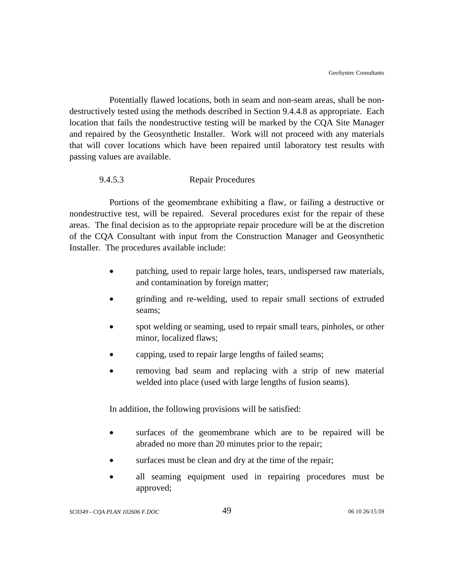Potentially flawed locations, both in seam and non-seam areas, shall be nondestructively tested using the methods described in Section 9.4.4.8 as appropriate. Each location that fails the nondestructive testing will be marked by the CQA Site Manager and repaired by the Geosynthetic Installer. Work will not proceed with any materials that will cover locations which have been repaired until laboratory test results with passing values are available.

## 9.4.5.3 Repair Procedures

Portions of the geomembrane exhibiting a flaw, or failing a destructive or nondestructive test, will be repaired. Several procedures exist for the repair of these areas. The final decision as to the appropriate repair procedure will be at the discretion of the CQA Consultant with input from the Construction Manager and Geosynthetic Installer. The procedures available include:

- patching, used to repair large holes, tears, undispersed raw materials, and contamination by foreign matter;
- grinding and re-welding, used to repair small sections of extruded seams;
- spot welding or seaming, used to repair small tears, pinholes, or other minor, localized flaws;
- capping, used to repair large lengths of failed seams;
- removing bad seam and replacing with a strip of new material welded into place (used with large lengths of fusion seams).

In addition, the following provisions will be satisfied:

- surfaces of the geomembrane which are to be repaired will be abraded no more than 20 minutes prior to the repair;
- surfaces must be clean and dry at the time of the repair;
- all seaming equipment used in repairing procedures must be approved;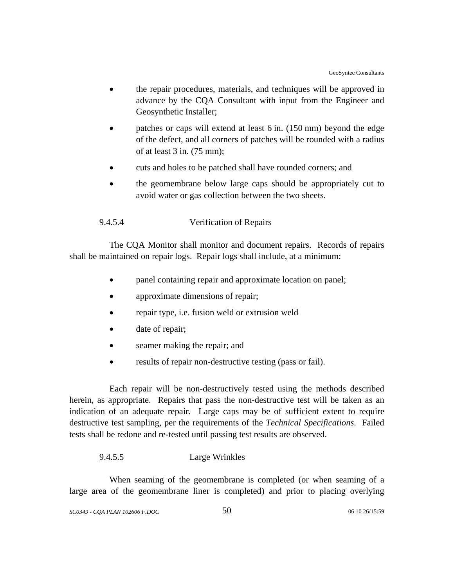- the repair procedures, materials, and techniques will be approved in advance by the CQA Consultant with input from the Engineer and Geosynthetic Installer;
- patches or caps will extend at least 6 in. (150 mm) beyond the edge of the defect, and all corners of patches will be rounded with a radius of at least 3 in. (75 mm);
- cuts and holes to be patched shall have rounded corners; and
- the geomembrane below large caps should be appropriately cut to avoid water or gas collection between the two sheets.

## 9.4.5.4 Verification of Repairs

The CQA Monitor shall monitor and document repairs. Records of repairs shall be maintained on repair logs. Repair logs shall include, at a minimum:

- panel containing repair and approximate location on panel;
- approximate dimensions of repair;
- repair type, i.e. fusion weld or extrusion weld
- date of repair;
- seamer making the repair; and
- results of repair non-destructive testing (pass or fail).

Each repair will be non-destructively tested using the methods described herein, as appropriate. Repairs that pass the non-destructive test will be taken as an indication of an adequate repair. Large caps may be of sufficient extent to require destructive test sampling, per the requirements of the *Technical Specifications*. Failed tests shall be redone and re-tested until passing test results are observed.

### 9.4.5.5 Large Wrinkles

When seaming of the geomembrane is completed (or when seaming of a large area of the geomembrane liner is completed) and prior to placing overlying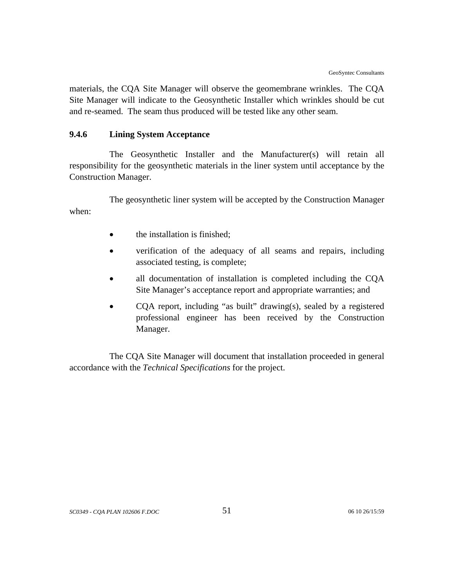materials, the CQA Site Manager will observe the geomembrane wrinkles. The CQA Site Manager will indicate to the Geosynthetic Installer which wrinkles should be cut and re-seamed. The seam thus produced will be tested like any other seam.

## **9.4.6 Lining System Acceptance**

The Geosynthetic Installer and the Manufacturer(s) will retain all responsibility for the geosynthetic materials in the liner system until acceptance by the Construction Manager.

The geosynthetic liner system will be accepted by the Construction Manager when:

- the installation is finished;
- verification of the adequacy of all seams and repairs, including associated testing, is complete;
- all documentation of installation is completed including the CQA Site Manager's acceptance report and appropriate warranties; and
- COA report, including "as built" drawing(s), sealed by a registered professional engineer has been received by the Construction Manager.

The CQA Site Manager will document that installation proceeded in general accordance with the *Technical Specifications* for the project.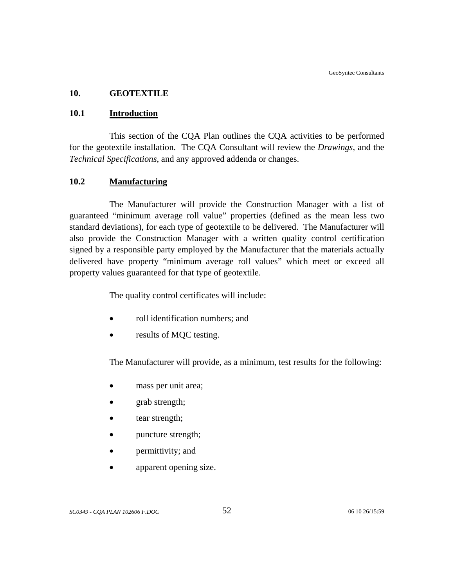### **10. GEOTEXTILE**

### **10.1 Introduction**

This section of the CQA Plan outlines the CQA activities to be performed for the geotextile installation. The CQA Consultant will review the *Drawings*, and the *Technical Specifications*, and any approved addenda or changes.

### **10.2 Manufacturing**

The Manufacturer will provide the Construction Manager with a list of guaranteed "minimum average roll value" properties (defined as the mean less two standard deviations), for each type of geotextile to be delivered. The Manufacturer will also provide the Construction Manager with a written quality control certification signed by a responsible party employed by the Manufacturer that the materials actually delivered have property "minimum average roll values" which meet or exceed all property values guaranteed for that type of geotextile.

The quality control certificates will include:

- roll identification numbers; and
- results of MQC testing.

The Manufacturer will provide, as a minimum, test results for the following:

- mass per unit area;
- grab strength;
- tear strength;
- puncture strength;
- permittivity; and
- apparent opening size.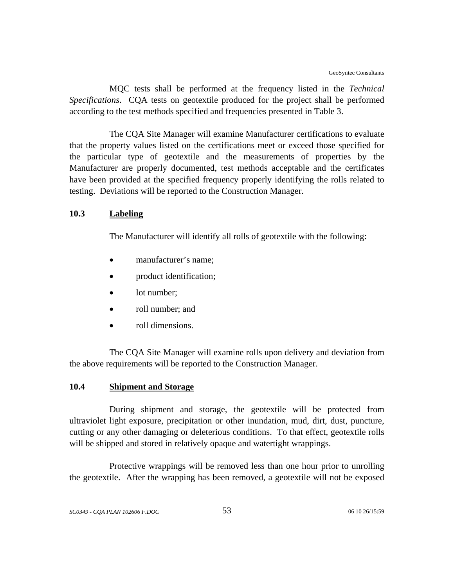MQC tests shall be performed at the frequency listed in the *Technical Specifications*. CQA tests on geotextile produced for the project shall be performed according to the test methods specified and frequencies presented in Table 3.

The CQA Site Manager will examine Manufacturer certifications to evaluate that the property values listed on the certifications meet or exceed those specified for the particular type of geotextile and the measurements of properties by the Manufacturer are properly documented, test methods acceptable and the certificates have been provided at the specified frequency properly identifying the rolls related to testing. Deviations will be reported to the Construction Manager.

#### **10.3 Labeling**

The Manufacturer will identify all rolls of geotextile with the following:

- manufacturer's name;
- product identification;
- lot number;
- roll number; and
- roll dimensions.

The CQA Site Manager will examine rolls upon delivery and deviation from the above requirements will be reported to the Construction Manager.

## **10.4 Shipment and Storage**

During shipment and storage, the geotextile will be protected from ultraviolet light exposure, precipitation or other inundation, mud, dirt, dust, puncture, cutting or any other damaging or deleterious conditions. To that effect, geotextile rolls will be shipped and stored in relatively opaque and watertight wrappings.

Protective wrappings will be removed less than one hour prior to unrolling the geotextile. After the wrapping has been removed, a geotextile will not be exposed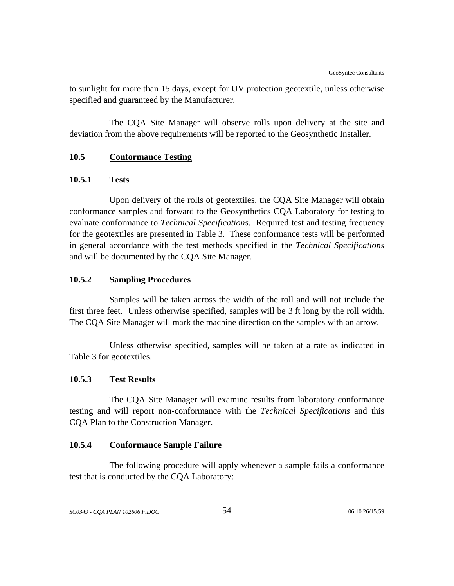to sunlight for more than 15 days, except for UV protection geotextile, unless otherwise specified and guaranteed by the Manufacturer.

The CQA Site Manager will observe rolls upon delivery at the site and deviation from the above requirements will be reported to the Geosynthetic Installer.

## **10.5 Conformance Testing**

### **10.5.1 Tests**

Upon delivery of the rolls of geotextiles, the CQA Site Manager will obtain conformance samples and forward to the Geosynthetics CQA Laboratory for testing to evaluate conformance to *Technical Specifications*. Required test and testing frequency for the geotextiles are presented in Table 3. These conformance tests will be performed in general accordance with the test methods specified in the *Technical Specifications* and will be documented by the CQA Site Manager.

### **10.5.2 Sampling Procedures**

Samples will be taken across the width of the roll and will not include the first three feet. Unless otherwise specified, samples will be 3 ft long by the roll width. The CQA Site Manager will mark the machine direction on the samples with an arrow.

Unless otherwise specified, samples will be taken at a rate as indicated in Table 3 for geotextiles.

## **10.5.3 Test Results**

The CQA Site Manager will examine results from laboratory conformance testing and will report non-conformance with the *Technical Specifications* and this CQA Plan to the Construction Manager.

## **10.5.4 Conformance Sample Failure**

The following procedure will apply whenever a sample fails a conformance test that is conducted by the CQA Laboratory: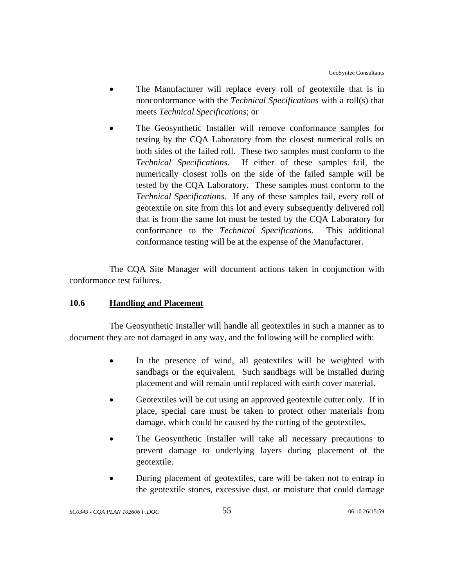- The Manufacturer will replace every roll of geotextile that is in nonconformance with the *Technical Specifications* with a roll(s) that meets *Technical Specifications*; or
- The Geosynthetic Installer will remove conformance samples for testing by the CQA Laboratory from the closest numerical rolls on both sides of the failed roll. These two samples must conform to the *Technical Specifications*. If either of these samples fail, the numerically closest rolls on the side of the failed sample will be tested by the CQA Laboratory. These samples must conform to the *Technical Specifications*. If any of these samples fail, every roll of geotextile on site from this lot and every subsequently delivered roll that is from the same lot must be tested by the CQA Laboratory for conformance to the *Technical Specifications*. This additional conformance testing will be at the expense of the Manufacturer.

The CQA Site Manager will document actions taken in conjunction with conformance test failures.

## **10.6 Handling and Placement**

The Geosynthetic Installer will handle all geotextiles in such a manner as to document they are not damaged in any way, and the following will be complied with:

- In the presence of wind, all geotextiles will be weighted with sandbags or the equivalent. Such sandbags will be installed during placement and will remain until replaced with earth cover material.
- Geotextiles will be cut using an approved geotextile cutter only. If in place, special care must be taken to protect other materials from damage, which could be caused by the cutting of the geotextiles.
- The Geosynthetic Installer will take all necessary precautions to prevent damage to underlying layers during placement of the geotextile.
- During placement of geotextiles, care will be taken not to entrap in the geotextile stones, excessive dust, or moisture that could damage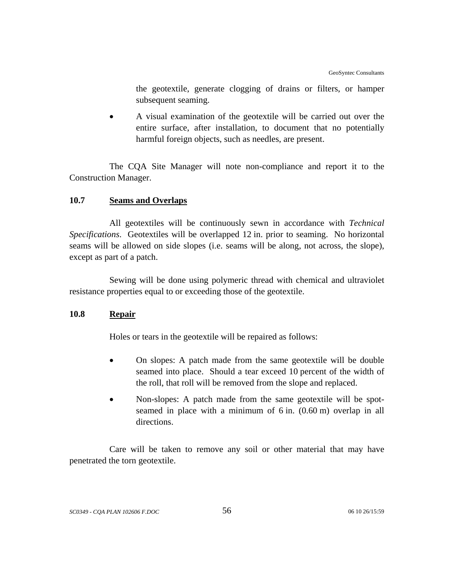the geotextile, generate clogging of drains or filters, or hamper subsequent seaming.

• A visual examination of the geotextile will be carried out over the entire surface, after installation, to document that no potentially harmful foreign objects, such as needles, are present.

The CQA Site Manager will note non-compliance and report it to the Construction Manager.

## **10.7 Seams and Overlaps**

All geotextiles will be continuously sewn in accordance with *Technical Specifications*. Geotextiles will be overlapped 12 in. prior to seaming. No horizontal seams will be allowed on side slopes (i.e. seams will be along, not across, the slope), except as part of a patch.

Sewing will be done using polymeric thread with chemical and ultraviolet resistance properties equal to or exceeding those of the geotextile.

## **10.8 Repair**

Holes or tears in the geotextile will be repaired as follows:

- On slopes: A patch made from the same geotextile will be double seamed into place. Should a tear exceed 10 percent of the width of the roll, that roll will be removed from the slope and replaced.
- Non-slopes: A patch made from the same geotextile will be spotseamed in place with a minimum of 6 in. (0.60 m) overlap in all directions.

Care will be taken to remove any soil or other material that may have penetrated the torn geotextile.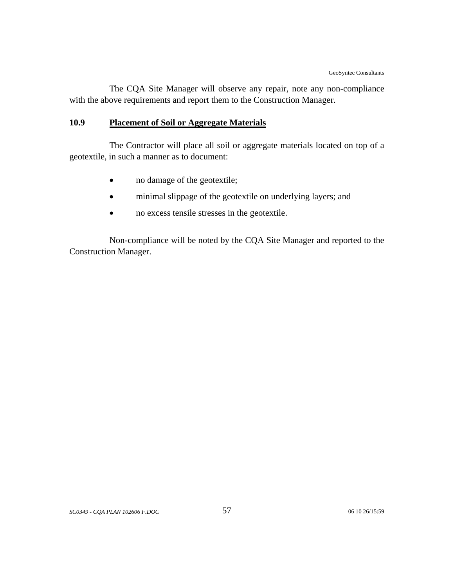The CQA Site Manager will observe any repair, note any non-compliance with the above requirements and report them to the Construction Manager.

# **10.9 Placement of Soil or Aggregate Materials**

The Contractor will place all soil or aggregate materials located on top of a geotextile, in such a manner as to document:

- no damage of the geotextile;
- minimal slippage of the geotextile on underlying layers; and
- no excess tensile stresses in the geotextile.

Non-compliance will be noted by the CQA Site Manager and reported to the Construction Manager.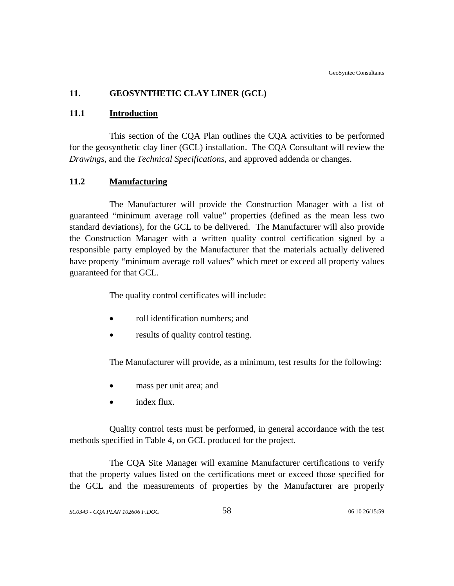# **11. GEOSYNTHETIC CLAY LINER (GCL)**

## **11.1 Introduction**

This section of the CQA Plan outlines the CQA activities to be performed for the geosynthetic clay liner (GCL) installation. The CQA Consultant will review the *Drawings*, and the *Technical Specifications*, and approved addenda or changes.

## **11.2 Manufacturing**

The Manufacturer will provide the Construction Manager with a list of guaranteed "minimum average roll value" properties (defined as the mean less two standard deviations), for the GCL to be delivered. The Manufacturer will also provide the Construction Manager with a written quality control certification signed by a responsible party employed by the Manufacturer that the materials actually delivered have property "minimum average roll values" which meet or exceed all property values guaranteed for that GCL.

The quality control certificates will include:

- roll identification numbers; and
- results of quality control testing.

The Manufacturer will provide, as a minimum, test results for the following:

- mass per unit area; and
- index flux.

Quality control tests must be performed, in general accordance with the test methods specified in Table 4, on GCL produced for the project.

The CQA Site Manager will examine Manufacturer certifications to verify that the property values listed on the certifications meet or exceed those specified for the GCL and the measurements of properties by the Manufacturer are properly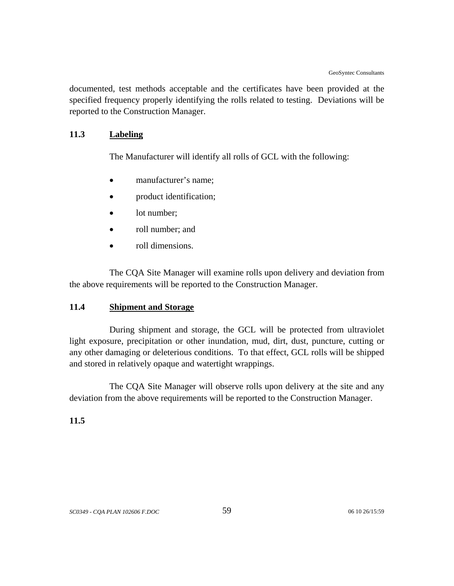documented, test methods acceptable and the certificates have been provided at the specified frequency properly identifying the rolls related to testing. Deviations will be reported to the Construction Manager.

## **11.3 Labeling**

The Manufacturer will identify all rolls of GCL with the following:

- manufacturer's name:
- product identification;
- lot number:
- roll number; and
- roll dimensions.

The CQA Site Manager will examine rolls upon delivery and deviation from the above requirements will be reported to the Construction Manager.

### **11.4 Shipment and Storage**

During shipment and storage, the GCL will be protected from ultraviolet light exposure, precipitation or other inundation, mud, dirt, dust, puncture, cutting or any other damaging or deleterious conditions. To that effect, GCL rolls will be shipped and stored in relatively opaque and watertight wrappings.

The CQA Site Manager will observe rolls upon delivery at the site and any deviation from the above requirements will be reported to the Construction Manager.

### **11.5**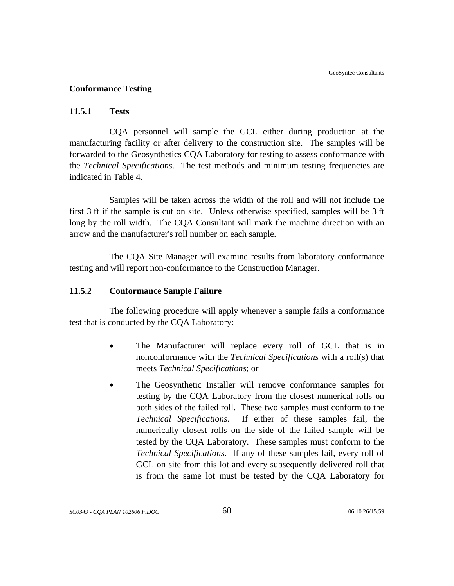### **Conformance Testing**

#### **11.5.1 Tests**

CQA personnel will sample the GCL either during production at the manufacturing facility or after delivery to the construction site. The samples will be forwarded to the Geosynthetics CQA Laboratory for testing to assess conformance with the *Technical Specifications*. The test methods and minimum testing frequencies are indicated in Table 4.

Samples will be taken across the width of the roll and will not include the first 3 ft if the sample is cut on site. Unless otherwise specified, samples will be 3 ft long by the roll width. The CQA Consultant will mark the machine direction with an arrow and the manufacturer's roll number on each sample.

The CQA Site Manager will examine results from laboratory conformance testing and will report non-conformance to the Construction Manager.

#### **11.5.2 Conformance Sample Failure**

The following procedure will apply whenever a sample fails a conformance test that is conducted by the CQA Laboratory:

- The Manufacturer will replace every roll of GCL that is in nonconformance with the *Technical Specifications* with a roll(s) that meets *Technical Specifications*; or
- The Geosynthetic Installer will remove conformance samples for testing by the CQA Laboratory from the closest numerical rolls on both sides of the failed roll. These two samples must conform to the *Technical Specifications*. If either of these samples fail, the numerically closest rolls on the side of the failed sample will be tested by the CQA Laboratory. These samples must conform to the *Technical Specifications*. If any of these samples fail, every roll of GCL on site from this lot and every subsequently delivered roll that is from the same lot must be tested by the CQA Laboratory for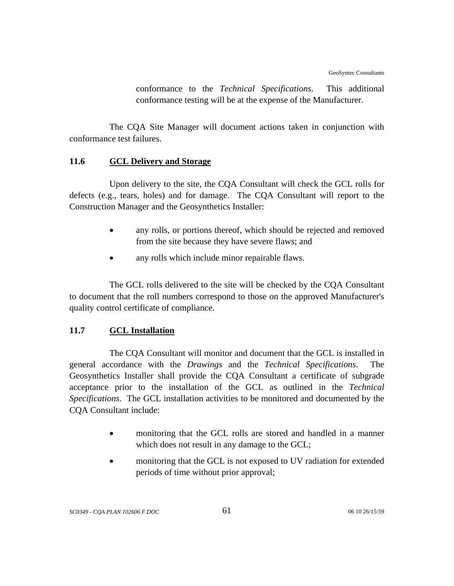conformance to the *Technical Specifications*. This additional conformance testing will be at the expense of the Manufacturer.

The CQA Site Manager will document actions taken in conjunction with conformance test failures.

# **11.6 GCL Delivery and Storage**

Upon delivery to the site, the CQA Consultant will check the GCL rolls for defects (e.g., tears, holes) and for damage. The CQA Consultant will report to the Construction Manager and the Geosynthetics Installer:

- any rolls, or portions thereof, which should be rejected and removed from the site because they have severe flaws; and
- any rolls which include minor repairable flaws.

The GCL rolls delivered to the site will be checked by the CQA Consultant to document that the roll numbers correspond to those on the approved Manufacturer's quality control certificate of compliance.

# **11.7 GCL Installation**

The CQA Consultant will monitor and document that the GCL is installed in general accordance with the *Drawings* and the *Technical Specifications*. The Geosynthetics Installer shall provide the CQA Consultant a certificate of subgrade acceptance prior to the installation of the GCL as outlined in the *Technical Specifications*. The GCL installation activities to be monitored and documented by the CQA Consultant include:

- monitoring that the GCL rolls are stored and handled in a manner which does not result in any damage to the GCL;
- monitoring that the GCL is not exposed to UV radiation for extended periods of time without prior approval;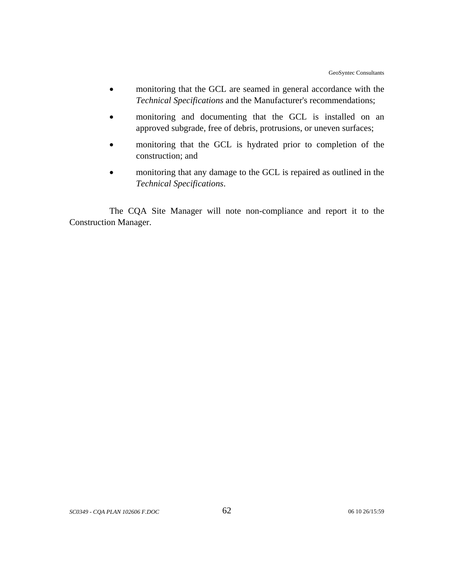- monitoring that the GCL are seamed in general accordance with the *Technical Specifications* and the Manufacturer's recommendations;
- monitoring and documenting that the GCL is installed on an approved subgrade, free of debris, protrusions, or uneven surfaces;
- monitoring that the GCL is hydrated prior to completion of the construction; and
- monitoring that any damage to the GCL is repaired as outlined in the *Technical Specifications*.

The CQA Site Manager will note non-compliance and report it to the Construction Manager.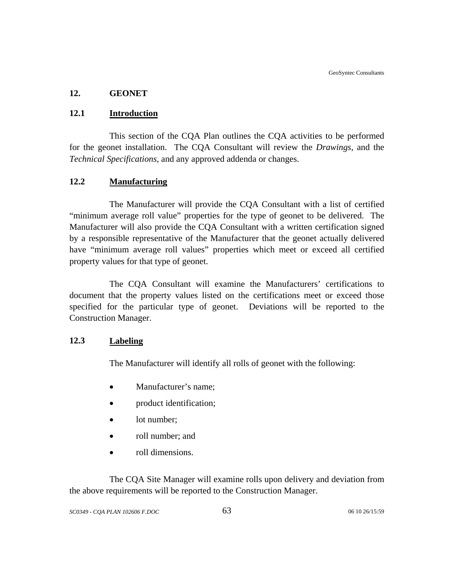## **12. GEONET**

# **12.1 Introduction**

This section of the CQA Plan outlines the CQA activities to be performed for the geonet installation. The CQA Consultant will review the *Drawings*, and the *Technical Specifications*, and any approved addenda or changes.

# **12.2 Manufacturing**

The Manufacturer will provide the CQA Consultant with a list of certified "minimum average roll value" properties for the type of geonet to be delivered. The Manufacturer will also provide the CQA Consultant with a written certification signed by a responsible representative of the Manufacturer that the geonet actually delivered have "minimum average roll values" properties which meet or exceed all certified property values for that type of geonet.

The CQA Consultant will examine the Manufacturers' certifications to document that the property values listed on the certifications meet or exceed those specified for the particular type of geonet. Deviations will be reported to the Construction Manager.

## **12.3 Labeling**

The Manufacturer will identify all rolls of geonet with the following:

- Manufacturer's name;
- product identification;
- lot number;
- roll number; and
- roll dimensions.

The CQA Site Manager will examine rolls upon delivery and deviation from the above requirements will be reported to the Construction Manager.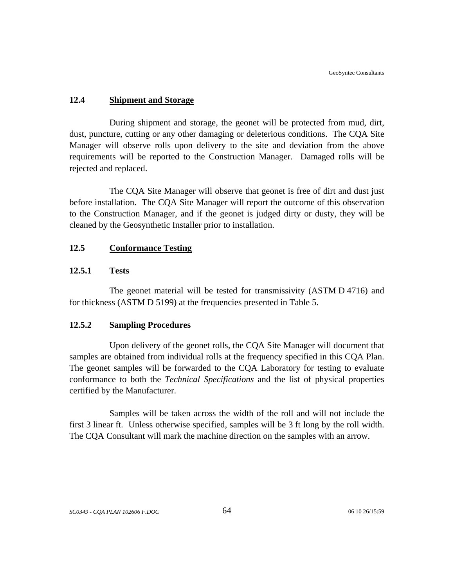## **12.4 Shipment and Storage**

During shipment and storage, the geonet will be protected from mud, dirt, dust, puncture, cutting or any other damaging or deleterious conditions. The CQA Site Manager will observe rolls upon delivery to the site and deviation from the above requirements will be reported to the Construction Manager. Damaged rolls will be rejected and replaced.

The CQA Site Manager will observe that geonet is free of dirt and dust just before installation. The CQA Site Manager will report the outcome of this observation to the Construction Manager, and if the geonet is judged dirty or dusty, they will be cleaned by the Geosynthetic Installer prior to installation.

## **12.5 Conformance Testing**

## **12.5.1 Tests**

The geonet material will be tested for transmissivity (ASTM D 4716) and for thickness (ASTM D 5199) at the frequencies presented in Table 5.

### **12.5.2 Sampling Procedures**

Upon delivery of the geonet rolls, the CQA Site Manager will document that samples are obtained from individual rolls at the frequency specified in this CQA Plan. The geonet samples will be forwarded to the CQA Laboratory for testing to evaluate conformance to both the *Technical Specifications* and the list of physical properties certified by the Manufacturer.

Samples will be taken across the width of the roll and will not include the first 3 linear ft. Unless otherwise specified, samples will be 3 ft long by the roll width. The CQA Consultant will mark the machine direction on the samples with an arrow.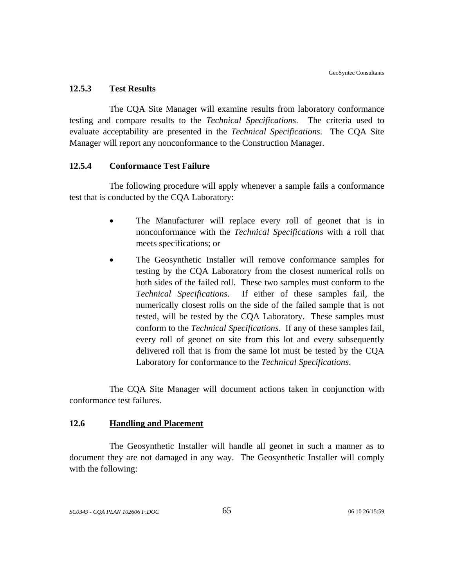#### **12.5.3 Test Results**

The CQA Site Manager will examine results from laboratory conformance testing and compare results to the *Technical Specifications*. The criteria used to evaluate acceptability are presented in the *Technical Specifications*. The CQA Site Manager will report any nonconformance to the Construction Manager.

#### **12.5.4 Conformance Test Failure**

The following procedure will apply whenever a sample fails a conformance test that is conducted by the CQA Laboratory:

- The Manufacturer will replace every roll of geonet that is in nonconformance with the *Technical Specifications* with a roll that meets specifications; or
- The Geosynthetic Installer will remove conformance samples for testing by the CQA Laboratory from the closest numerical rolls on both sides of the failed roll. These two samples must conform to the *Technical Specifications*. If either of these samples fail, the numerically closest rolls on the side of the failed sample that is not tested, will be tested by the CQA Laboratory. These samples must conform to the *Technical Specifications*. If any of these samples fail, every roll of geonet on site from this lot and every subsequently delivered roll that is from the same lot must be tested by the CQA Laboratory for conformance to the *Technical Specifications*.

The CQA Site Manager will document actions taken in conjunction with conformance test failures.

## **12.6 Handling and Placement**

The Geosynthetic Installer will handle all geonet in such a manner as to document they are not damaged in any way. The Geosynthetic Installer will comply with the following: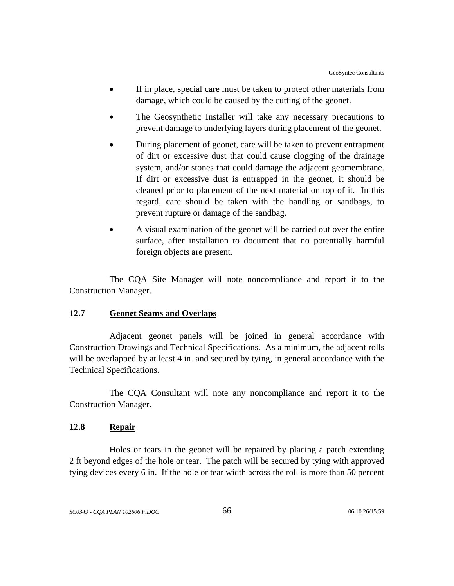- If in place, special care must be taken to protect other materials from damage, which could be caused by the cutting of the geonet.
- The Geosynthetic Installer will take any necessary precautions to prevent damage to underlying layers during placement of the geonet.
- During placement of geonet, care will be taken to prevent entrapment of dirt or excessive dust that could cause clogging of the drainage system, and/or stones that could damage the adjacent geomembrane. If dirt or excessive dust is entrapped in the geonet, it should be cleaned prior to placement of the next material on top of it. In this regard, care should be taken with the handling or sandbags, to prevent rupture or damage of the sandbag.
- A visual examination of the geonet will be carried out over the entire surface, after installation to document that no potentially harmful foreign objects are present.

The CQA Site Manager will note noncompliance and report it to the Construction Manager.

## **12.7 Geonet Seams and Overlaps**

Adjacent geonet panels will be joined in general accordance with Construction Drawings and Technical Specifications. As a minimum, the adjacent rolls will be overlapped by at least 4 in. and secured by tying, in general accordance with the Technical Specifications.

The CQA Consultant will note any noncompliance and report it to the Construction Manager.

## **12.8 Repair**

Holes or tears in the geonet will be repaired by placing a patch extending 2 ft beyond edges of the hole or tear. The patch will be secured by tying with approved tying devices every 6 in. If the hole or tear width across the roll is more than 50 percent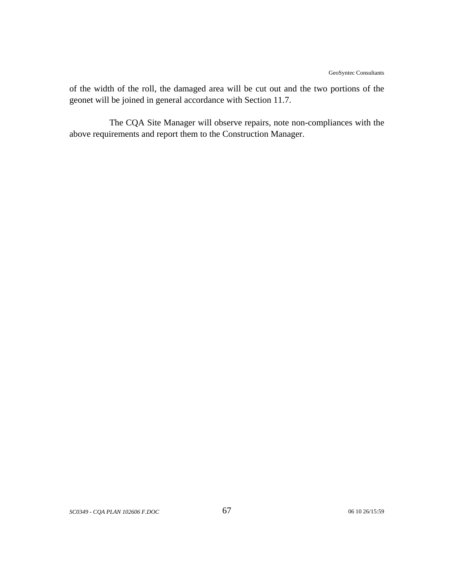of the width of the roll, the damaged area will be cut out and the two portions of the geonet will be joined in general accordance with Section 11.7.

The CQA Site Manager will observe repairs, note non-compliances with the above requirements and report them to the Construction Manager.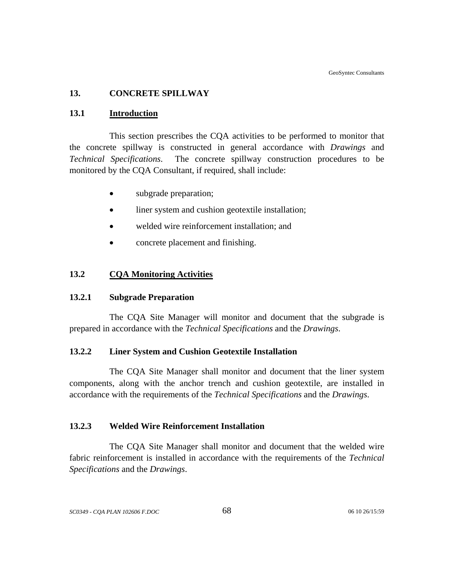#### **13. CONCRETE SPILLWAY**

#### **13.1 Introduction**

This section prescribes the CQA activities to be performed to monitor that the concrete spillway is constructed in general accordance with *Drawings* and *Technical Specifications*. The concrete spillway construction procedures to be monitored by the CQA Consultant, if required, shall include:

- subgrade preparation;
- liner system and cushion geotextile installation;
- welded wire reinforcement installation; and
- concrete placement and finishing.

#### **13.2 CQA Monitoring Activities**

#### **13.2.1 Subgrade Preparation**

The CQA Site Manager will monitor and document that the subgrade is prepared in accordance with the *Technical Specifications* and the *Drawings*.

## **13.2.2 Liner System and Cushion Geotextile Installation**

 The CQA Site Manager shall monitor and document that the liner system components, along with the anchor trench and cushion geotextile, are installed in accordance with the requirements of the *Technical Specifications* and the *Drawings*.

#### **13.2.3 Welded Wire Reinforcement Installation**

The CQA Site Manager shall monitor and document that the welded wire fabric reinforcement is installed in accordance with the requirements of the *Technical Specifications* and the *Drawings*.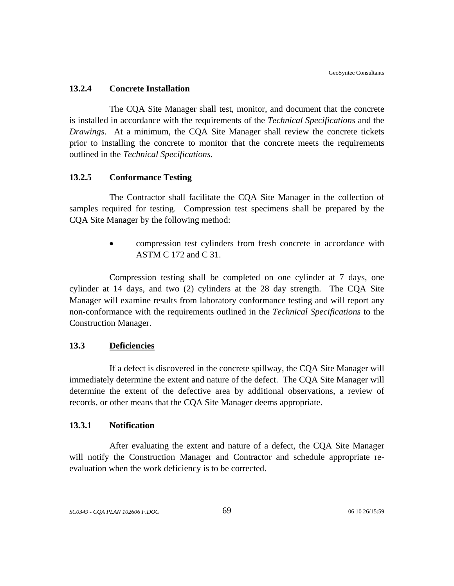#### **13.2.4 Concrete Installation**

The CQA Site Manager shall test, monitor, and document that the concrete is installed in accordance with the requirements of the *Technical Specifications* and the *Drawings*. At a minimum, the CQA Site Manager shall review the concrete tickets prior to installing the concrete to monitor that the concrete meets the requirements outlined in the *Technical Specifications*.

#### **13.2.5 Conformance Testing**

The Contractor shall facilitate the CQA Site Manager in the collection of samples required for testing. Compression test specimens shall be prepared by the CQA Site Manager by the following method:

> • compression test cylinders from fresh concrete in accordance with ASTM C 172 and C 31.

Compression testing shall be completed on one cylinder at 7 days, one cylinder at 14 days, and two (2) cylinders at the 28 day strength. The CQA Site Manager will examine results from laboratory conformance testing and will report any non-conformance with the requirements outlined in the *Technical Specifications* to the Construction Manager.

#### **13.3 Deficiencies**

If a defect is discovered in the concrete spillway, the CQA Site Manager will immediately determine the extent and nature of the defect. The CQA Site Manager will determine the extent of the defective area by additional observations, a review of records, or other means that the CQA Site Manager deems appropriate.

#### **13.3.1 Notification**

After evaluating the extent and nature of a defect, the CQA Site Manager will notify the Construction Manager and Contractor and schedule appropriate reevaluation when the work deficiency is to be corrected.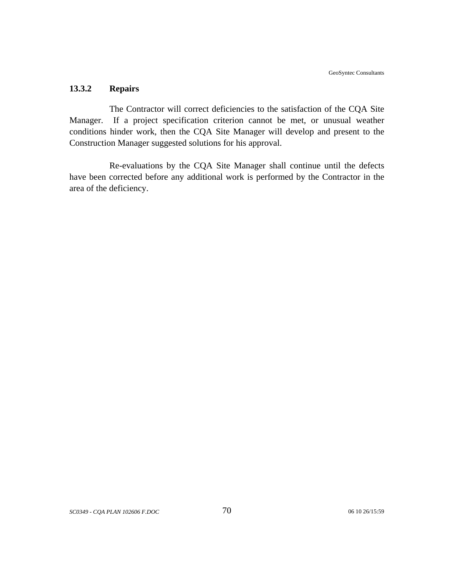## **13.3.2 Repairs**

The Contractor will correct deficiencies to the satisfaction of the CQA Site Manager. If a project specification criterion cannot be met, or unusual weather conditions hinder work, then the CQA Site Manager will develop and present to the Construction Manager suggested solutions for his approval.

Re-evaluations by the CQA Site Manager shall continue until the defects have been corrected before any additional work is performed by the Contractor in the area of the deficiency.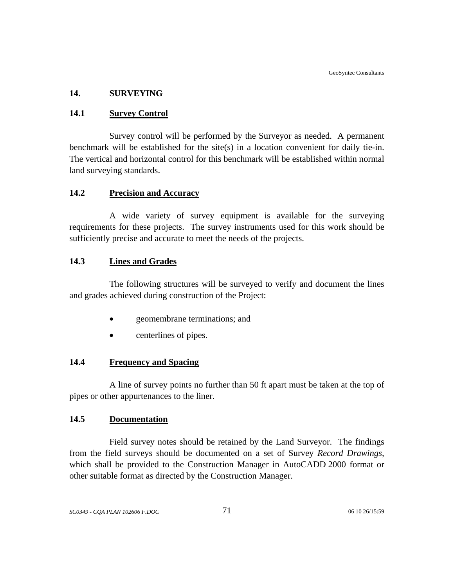#### **14. SURVEYING**

#### **14.1 Survey Control**

Survey control will be performed by the Surveyor as needed. A permanent benchmark will be established for the site(s) in a location convenient for daily tie-in. The vertical and horizontal control for this benchmark will be established within normal land surveying standards.

### **14.2 Precision and Accuracy**

A wide variety of survey equipment is available for the surveying requirements for these projects. The survey instruments used for this work should be sufficiently precise and accurate to meet the needs of the projects.

## **14.3 Lines and Grades**

The following structures will be surveyed to verify and document the lines and grades achieved during construction of the Project:

- geomembrane terminations; and
- centerlines of pipes.

## **14.4 Frequency and Spacing**

A line of survey points no further than 50 ft apart must be taken at the top of pipes or other appurtenances to the liner.

#### **14.5 Documentation**

Field survey notes should be retained by the Land Surveyor. The findings from the field surveys should be documented on a set of Survey *Record Drawings*, which shall be provided to the Construction Manager in AutoCADD 2000 format or other suitable format as directed by the Construction Manager.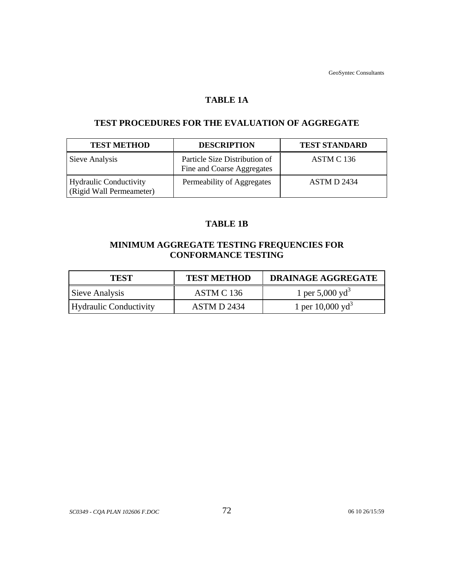GeoSyntec Consultants

## **TABLE 1A**

## **TEST PROCEDURES FOR THE EVALUATION OF AGGREGATE**

| <b>TEST METHOD</b>                                 | <b>DESCRIPTION</b>                                          | <b>TEST STANDARD</b> |
|----------------------------------------------------|-------------------------------------------------------------|----------------------|
| Sieve Analysis                                     | Particle Size Distribution of<br>Fine and Coarse Aggregates | ASTM C 136           |
| Hydraulic Conductivity<br>(Rigid Wall Permeameter) | Permeability of Aggregates                                  | ASTM D 2434          |

## **TABLE 1B**

# **MINIMUM AGGREGATE TESTING FREQUENCIES FOR CONFORMANCE TESTING**

| <b>TEST</b>            | <b>TEST METHOD</b> | <b>DRAINAGE AGGREGATE</b>   |
|------------------------|--------------------|-----------------------------|
| Sieve Analysis         | ASTM C 136         | 1 per 5,000 yd <sup>3</sup> |
| Hydraulic Conductivity | ASTM D 2434        | 1 per $10,000 \text{ yd}^3$ |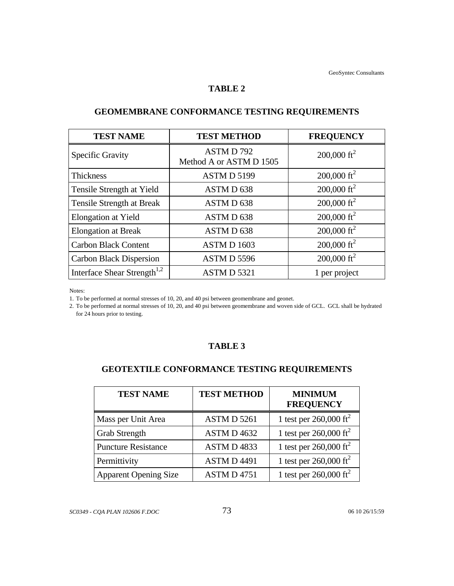#### **TABLE 2**

| <b>TEST NAME</b>                        | <b>TEST METHOD</b>                  | <b>FREQUENCY</b>        |
|-----------------------------------------|-------------------------------------|-------------------------|
| <b>Specific Gravity</b>                 | ASTMD792<br>Method A or ASTM D 1505 | 200,000 ft <sup>2</sup> |
| <b>Thickness</b>                        | ASTMD 5199                          | 200,000 ft <sup>2</sup> |
| Tensile Strength at Yield               | ASTM D 638                          | 200,000 ft <sup>2</sup> |
| Tensile Strength at Break               | ASTMD 638                           | 200,000 ft <sup>2</sup> |
| Elongation at Yield                     | ASTMD 638                           | 200,000 ft <sup>2</sup> |
| <b>Elongation at Break</b>              | ASTMD 638                           | $200,000 \text{ ft}^2$  |
| <b>Carbon Black Content</b>             | ASTMD 1603                          | 200,000 ft <sup>2</sup> |
| <b>Carbon Black Dispersion</b>          | ASTMD 5596                          | $200,000 \text{ ft}^2$  |
| Interface Shear Strength <sup>1,2</sup> | ASTMD 5321                          | 1 per project           |

# **GEOMEMBRANE CONFORMANCE TESTING REQUIREMENTS**

Notes:

1. To be performed at normal stresses of 10, 20, and 40 psi between geomembrane and geonet.

2. To be performed at normal stresses of 10, 20, and 40 psi between geomembrane and woven side of GCL. GCL shall be hydrated for 24 hours prior to testing.

## **TABLE 3**

# **GEOTEXTILE CONFORMANCE TESTING REQUIREMENTS**

| <b>TEST NAME</b>             | <b>TEST METHOD</b> | <b>MINIMUM</b><br><b>FREQUENCY</b> |
|------------------------------|--------------------|------------------------------------|
| Mass per Unit Area           | ASTM D 5261        | 1 test per $260,000 \text{ ft}^2$  |
| <b>Grab Strength</b>         | ASTM D 4632        | 1 test per $260,000 \text{ ft}^2$  |
| <b>Puncture Resistance</b>   | ASTMD4833          | 1 test per $260,000 \text{ ft}^2$  |
| Permittivity                 | <b>ASTMD4491</b>   | 1 test per $260,000 \text{ ft}^2$  |
| <b>Apparent Opening Size</b> | <b>ASTM D 4751</b> | 1 test per $260,000 \text{ ft}^2$  |